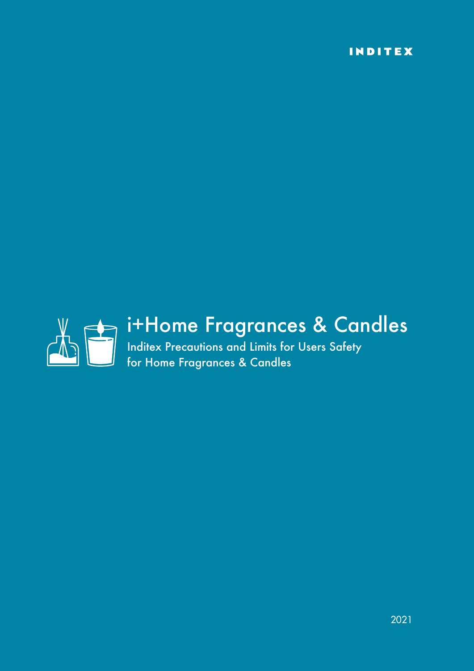INDITEX

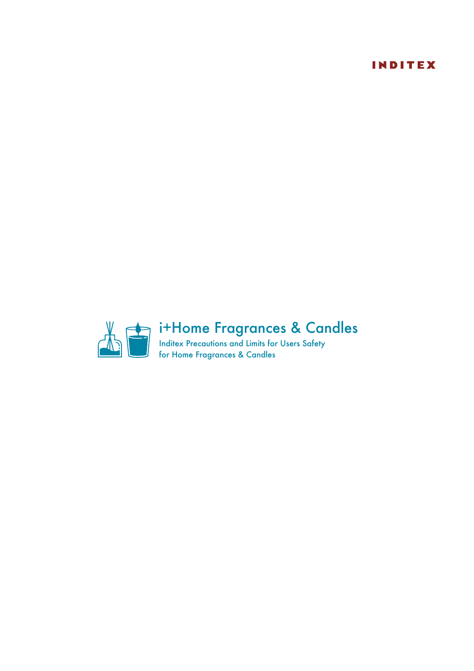# INDITEX

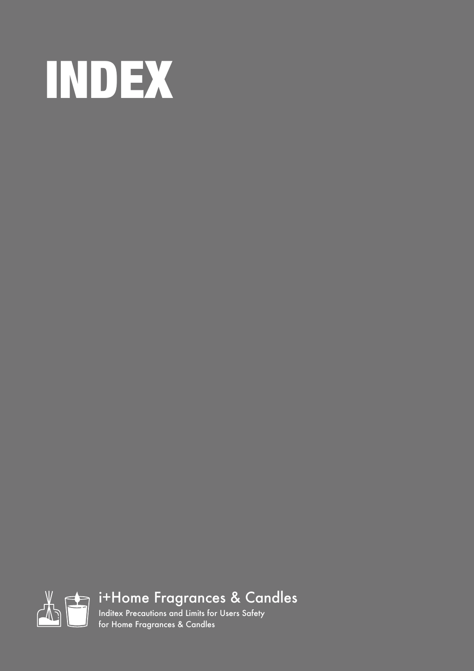<span id="page-4-0"></span>



i+Home Fragrances & Candles

Inditex Precautions and Limits for Users Safety for Home Fragrances & Candles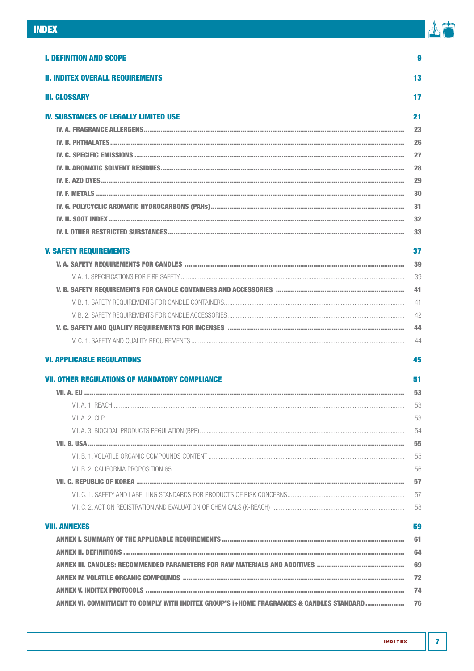

| <b>I. DEFINITION AND SCOPE</b>                                                           | g  |
|------------------------------------------------------------------------------------------|----|
| <b>II. INDITEX OVERALL REQUIREMENTS</b>                                                  | 13 |
| <b>III. GLOSSARY</b>                                                                     | 17 |
| <b>IV. SUBSTANCES OF LEGALLY LIMITED USE</b>                                             | 21 |
|                                                                                          | 23 |
|                                                                                          | 26 |
|                                                                                          | 27 |
|                                                                                          | 28 |
|                                                                                          | 29 |
|                                                                                          | 30 |
|                                                                                          | 31 |
|                                                                                          | 32 |
|                                                                                          | 33 |
| <b>V. SAFETY REQUIREMENTS</b>                                                            | 37 |
|                                                                                          | 39 |
|                                                                                          | 39 |
|                                                                                          | 41 |
|                                                                                          | 41 |
|                                                                                          | 42 |
|                                                                                          | 44 |
|                                                                                          | 44 |
| <b>VI. APPLICABLE REGULATIONS</b>                                                        | 45 |
| <b>VII. OTHER REGULATIONS OF MANDATORY COMPLIANCE</b>                                    | 51 |
|                                                                                          | 53 |
| VII. A. 1. REACH                                                                         | 53 |
|                                                                                          | 53 |
|                                                                                          | 54 |
|                                                                                          | 55 |
|                                                                                          | 55 |
|                                                                                          | 56 |
|                                                                                          | 57 |
|                                                                                          | 57 |
|                                                                                          | 58 |
| <b>VIII. ANNEXES</b>                                                                     | 59 |
|                                                                                          | 61 |
|                                                                                          | 64 |
|                                                                                          | 69 |
|                                                                                          | 72 |
|                                                                                          | 74 |
| ANNEX VI. COMMITMENT TO COMPLY WITH INDITEX GROUP'S i+HOME FRAGRANCES & CANDLES STANDARD | 76 |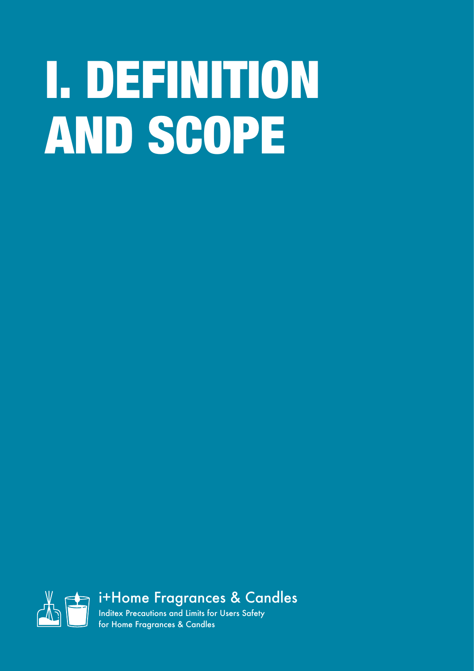# <span id="page-8-1"></span><span id="page-8-0"></span>I. DEFINITION AND SCOPE

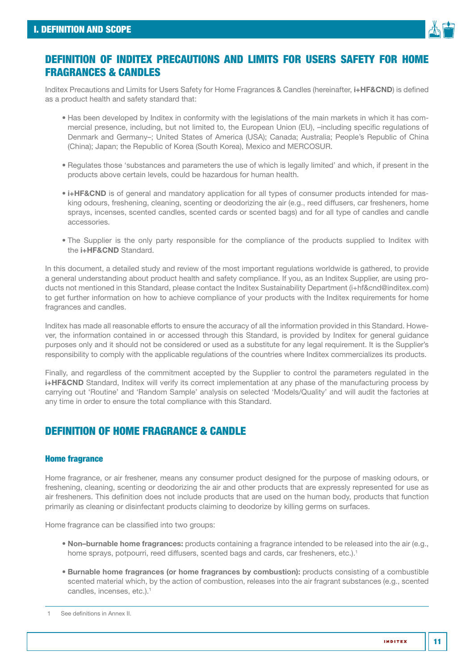

# DEFINITION OF INDITEX PRECAUTIONS AND LIMITS FOR USERS SAFETY FOR HOME FRAGRANCES & CANDLES

Inditex Precautions and Limits for Users Safety for Home Fragrances & Candles (hereinafter, i+HF&CND) is defined as a product health and safety standard that:

- Has been developed by Inditex in conformity with the legislations of the main markets in which it has commercial presence, including, but not limited to, the European Union (EU), –including specific regulations of Denmark and Germany–; United States of America (USA); Canada; Australia; People's Republic of China (China); Japan; the Republic of Korea (South Korea), Mexico and MERCOSUR.
- Regulates those 'substances and parameters the use of which is legally limited' and which, if present in the products above certain levels, could be hazardous for human health.
- i+HF&CND is of general and mandatory application for all types of consumer products intended for masking odours, freshening, cleaning, scenting or deodorizing the air (e.g., reed diffusers, car fresheners, home sprays, incenses, scented candles, scented cards or scented bags) and for all type of candles and candle accessories.
- The Supplier is the only party responsible for the compliance of the products supplied to Inditex with the i+HF&CND Standard.

In this document, a detailed study and review of the most important regulations worldwide is gathered, to provide a general understanding about product health and safety compliance. If you, as an Inditex Supplier, are using pro-ducts not mentioned in this Standard, please contact the Inditex Sustainability Department [\(i+hf&cnd@inditex.com](mailto:i+hf&cnd@inditex.com)) to get further information on how to achieve compliance of your products with the Inditex requirements for home fragrances and candles.

Inditex has made all reasonable efforts to ensure the accuracy of all the information provided in this Standard. However, the information contained in or accessed through this Standard, is provided by Inditex for general guidance purposes only and it should not be considered or used as a substitute for any legal requirement. It is the Supplier's responsibility to comply with the applicable regulations of the countries where Inditex commercializes its products.

Finally, and regardless of the commitment accepted by the Supplier to control the parameters regulated in the i+HF&CND Standard, Inditex will verify its correct implementation at any phase of the manufacturing process by carrying out 'Routine' and 'Random Sample' analysis on selected 'Models/Quality' and will audit the factories at any time in order to ensure the total compliance with this Standard.

# DEFINITION OF HOME FRAGRANCE & CANDLE

# Home fragrance

Home fragrance, or air freshener, means any consumer product designed for the purpose of masking odours, or freshening, cleaning, scenting or deodorizing the air and other products that are expressly represented for use as air fresheners. This definition does not include products that are used on the human body, products that function primarily as cleaning or disinfectant products claiming to deodorize by killing germs on surfaces.

Home fragrance can be classified into two groups:

- Non–burnable home fragrances: products containing a fragrance intended to be released into the air (e.g., home sprays, potpourri, reed diffusers, scented bags and cards, car fresheners, etc.).<sup>1</sup>
- Burnable home fragrances (or home fragrances by combustion): products consisting of a combustible scented material which, by the action of combustion, releases into the air fragrant substances (e.g., scented candles, incenses, etc.).<sup>1</sup>

<sup>1</sup> See definitions in [Annex II](#page-63-1).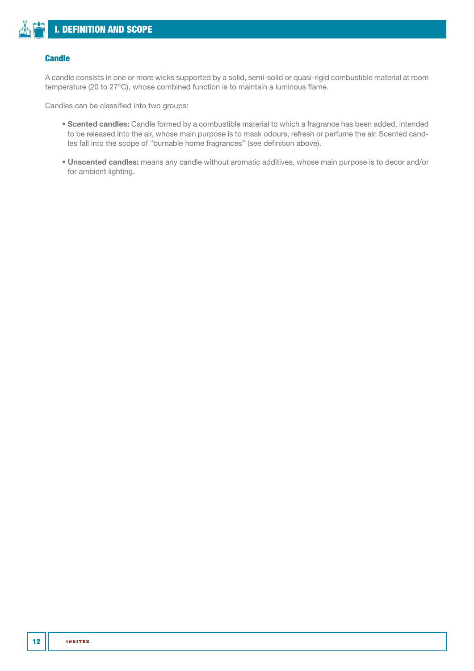

# **Candle**

A candle consists in one or more wicks supported by a solid, semi-solid or quasi-rigid combustible material at room temperature (20 to 27°C), whose combined function is to maintain a luminous flame.

Candles can be classified into two groups:

- Scented candles: Candle formed by a combustible material to which a fragrance has been added, intended to be released into the air, whose main purpose is to mask odours, refresh or perfume the air. Scented candles fall into the scope of "burnable home fragrances" (see definition above).
- Unscented candles: means any candle without aromatic additives, whose main purpose is to decor and/or for ambient lighting.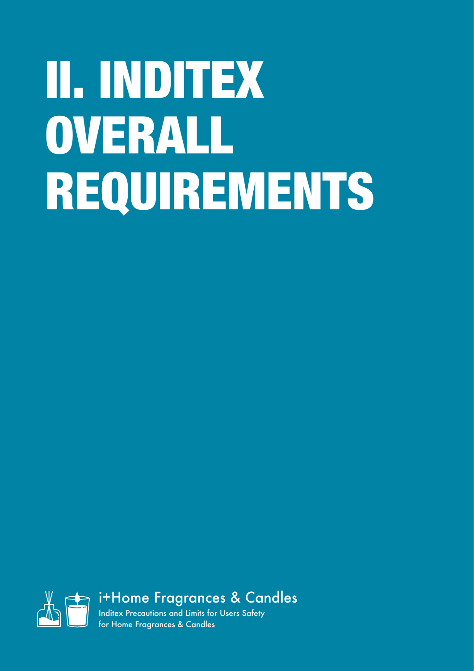# <span id="page-12-1"></span><span id="page-12-0"></span>II. INDITEX OVERALL REQUIREMENTS

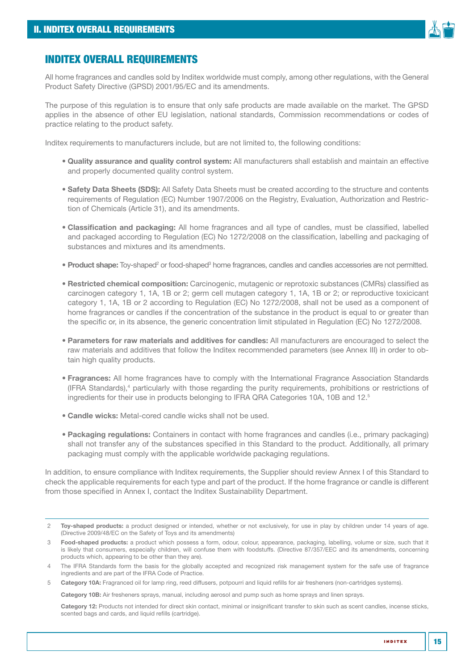

# INDITEX OVERALL REQUIREMENTS

All home fragrances and candles sold by Inditex worldwide must comply, among other regulations, with the General Product Safety Directive (GPSD) 2001/95/EC and its amendments.

The purpose of this regulation is to ensure that only safe products are made available on the market. The GPSD applies in the absence of other EU legislation, national standards, Commission recommendations or codes of practice relating to the product safety.

Inditex requirements to manufacturers include, but are not limited to, the following conditions:

- Quality assurance and quality control system: All manufacturers shall establish and maintain an effective and properly documented quality control system.
- Safety Data Sheets (SDS): All Safety Data Sheets must be created according to the structure and contents requirements of Regulation (EC) Number 1907/2006 on the Registry, Evaluation, Authorization and Restriction of Chemicals (Article 31), and its amendments.
- Classification and packaging: All home fragrances and all type of candles, must be classified, labelled and packaged according to Regulation (EC) No 1272/2008 on the classification, labelling and packaging of substances and mixtures and its amendments.
- Product shape: Toy-shaped<sup>2</sup> or food-shaped<sup>3</sup> home fragrances, candles and candles accessories are not permitted.
- Restricted chemical composition: Carcinogenic, mutagenic or reprotoxic substances (CMRs) classified as carcinogen category 1, 1A, 1B or 2; germ cell mutagen category 1, 1A, 1B or 2; or reproductive toxicicant category 1, 1A, 1B or 2 according to Regulation (EC) No 1272/2008, shall not be used as a component of home fragrances or candles if the concentration of the substance in the product is equal to or greater than the specific or, in its absence, the generic concentration limit stipulated in Regulation (EC) No 1272/2008.
- Parameters for raw materials and additives for candles: All manufacturers are encouraged to select the raw materials and additives that follow the Inditex recommended parameters (see [Annex III\)](#page-68-1) in order to obtain high quality products.
- Fragrances: All home fragrances have to comply with the International Fragrance Association Standards (IFRA Standards),<sup>4</sup> particularly with those regarding the purity requirements, prohibitions or restrictions of ingredients for their use in products belonging to IFRA QRA Categories 10A, 10B and 12.5
- Candle wicks: Metal-cored candle wicks shall not be used.
- Packaging regulations: Containers in contact with home fragrances and candles (i.e., primary packaging) shall not transfer any of the substances specified in this Standard to the product. Additionally, all primary packaging must comply with the applicable worldwide packaging regulations.

In addition, to ensure compliance with Inditex requirements, the Supplier should review [Annex I](#page-60-1) of this Standard to check the applicable requirements for each type and part of the product. If the home fragrance or candle is different from those specified in [Annex I,](#page-60-1) contact the Inditex Sustainability Department.

Category 10B: Air fresheners sprays, manual, including aerosol and pump such as home sprays and linen sprays.

Category 12: Products not intended for direct skin contact, minimal or insignificant transfer to skin such as scent candles, incense sticks, scented bags and cards, and liquid refills (cartridge).

<sup>2</sup> Toy-shaped products: a product designed or intended, whether or not exclusively, for use in play by children under 14 years of age. (Directive 2009/48/EC on the Safety of Toys and its amendments)

<sup>3</sup> Food-shaped products: a product which possess a form, odour, colour, appearance, packaging, labelling, volume or size, such that it is likely that consumers, especially children, will confuse them with foodstuffs. (Directive 87/357/EEC and its amendments, concerning products which, appearing to be other than they are).

<sup>4</sup> The IFRA Standards form the basis for the globally accepted and recognized risk management system for the safe use of fragrance ingredients and are part of the IFRA Code of Practice.

<sup>5</sup> Category 10A: Fragranced oil for lamp ring, reed diffusers, potpourri and liquid refills for air fresheners (non-cartridges systems).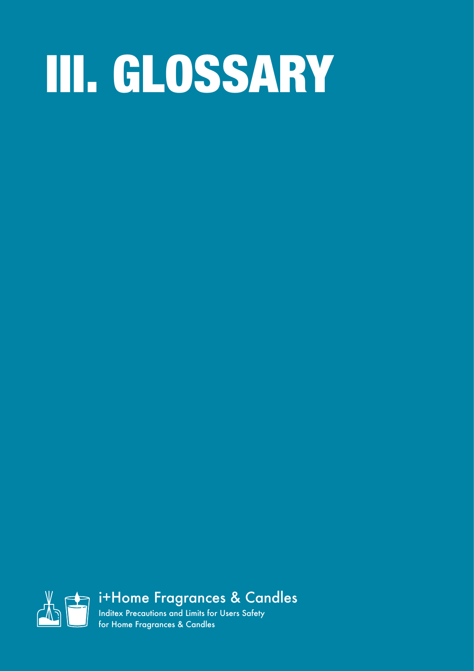# <span id="page-16-1"></span><span id="page-16-0"></span>III. GLOSSARY



i+Home Fragrances & Candles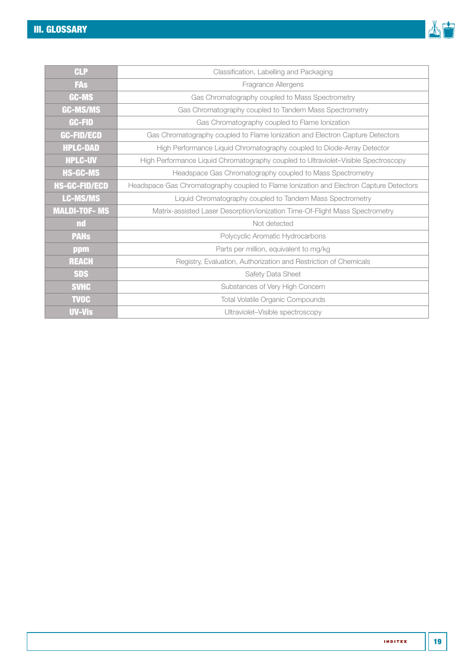

| <b>CLP</b>           | Classification, Labelling and Packaging                                                 |
|----------------------|-----------------------------------------------------------------------------------------|
| <b>FAs</b>           | Fragrance Allergens                                                                     |
| <b>GC-MS</b>         | Gas Chromatography coupled to Mass Spectrometry                                         |
| <b>GC-MS/MS</b>      | Gas Chromatography coupled to Tandem Mass Spectrometry                                  |
| <b>GC-FID</b>        | Gas Chromatography coupled to Flame Ionization                                          |
| <b>GC-FID/ECD</b>    | Gas Chromatography coupled to Flame Ionization and Electron Capture Detectors           |
| <b>HPLC-DAD</b>      | High Performance Liquid Chromatography coupled to Diode-Array Detector                  |
| <b>HPLC-UV</b>       | High Performance Liquid Chromatography coupled to Ultraviolet–Visible Spectroscopy      |
| <b>HS-GC-MS</b>      | Headspace Gas Chromatography coupled to Mass Spectrometry                               |
| <b>HS-GC-FID/ECD</b> | Headspace Gas Chromatography coupled to Flame Ionization and Electron Capture Detectors |
| <b>LC-MS/MS</b>      | Liquid Chromatography coupled to Tandem Mass Spectrometry                               |
| <b>MALDI-TOF- MS</b> | Matrix-assisted Laser Desorption/ionization Time-Of-Flight Mass Spectrometry            |
| <b>Indi</b>          | Not detected                                                                            |
| <b>PAHs</b>          | Polycyclic Aromatic Hydrocarbons                                                        |
| ppm                  | Parts per million, equivalent to mg/kg                                                  |
| <b>REACH</b>         | Registry, Evaluation, Authorization and Restriction of Chemicals                        |
| <b>SDS</b>           | Safety Data Sheet                                                                       |
| <b>SVHC</b>          | Substances of Very High Concern                                                         |
| <b>TVOC</b>          | Total Volatile Organic Compounds                                                        |
| <b>UV-Vis</b>        | Ultraviolet-Visible spectroscopy                                                        |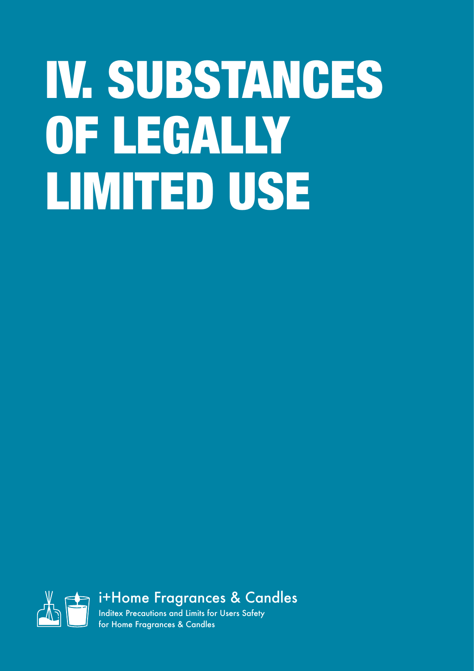# <span id="page-20-1"></span><span id="page-20-0"></span>IV. SUBSTANCES OF LEGALLY LIMITED USE

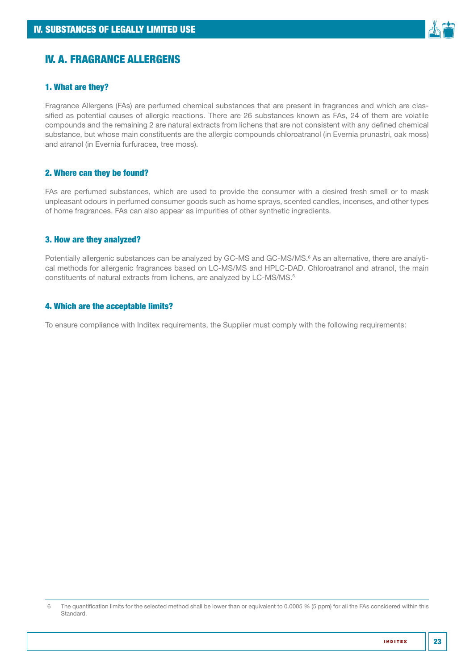

# <span id="page-22-0"></span>IV. A. FRAGRANCE ALLERGENS

# 1. What are they?

Fragrance Allergens (FAs) are perfumed chemical substances that are present in fragrances and which are classified as potential causes of allergic reactions. There are 26 substances known as FAs, 24 of them are volatile compounds and the remaining 2 are natural extracts from lichens that are not consistent with any defined chemical substance, but whose main constituents are the allergic compounds chloroatranol (in Evernia prunastri, oak moss) and atranol (in Evernia furfuracea, tree moss).

# 2. Where can they be found?

FAs are perfumed substances, which are used to provide the consumer with a desired fresh smell or to mask unpleasant odours in perfumed consumer goods such as home sprays, scented candles, incenses, and other types of home fragrances. FAs can also appear as impurities of other synthetic ingredients.

# 3. How are they analyzed?

Potentially allergenic substances can be analyzed by GC-MS and GC-MS/MS.<sup>6</sup> As an alternative, there are analytical methods for allergenic fragrances based on LC-MS/MS and HPLC-DAD. Chloroatranol and atranol, the main constituents of natural extracts from lichens, are analyzed by LC-MS/MS.<sup>6</sup>

### 4. Which are the acceptable limits?

To ensure compliance with Inditex requirements, the Supplier must comply with the following requirements:

<sup>6</sup> The quantification limits for the selected method shall be lower than or equivalent to 0.0005 % (5 ppm) for all the FAs considered within this Standard.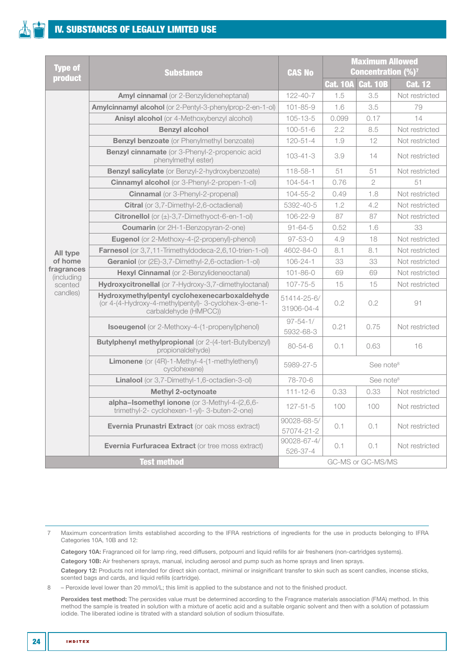

| <b>Type of</b>           |                                                                                                                                 |                               | <b>Maximum Allowed</b>                |                       |                |
|--------------------------|---------------------------------------------------------------------------------------------------------------------------------|-------------------------------|---------------------------------------|-----------------------|----------------|
| <b>product</b>           | <b>Substance</b>                                                                                                                | <b>CAS No</b>                 | <b>Concentration (%)</b> <sup>7</sup> |                       |                |
|                          |                                                                                                                                 |                               | Cat. 10A                              | <b>Cat. 10B</b>       | <b>Cat. 12</b> |
|                          | <b>Amyl cinnamal</b> (or 2-Benzylideneheptanal)                                                                                 | $122 - 40 - 7$                | 1.5                                   | 3.5                   | Not restricted |
|                          | Amylcinnamyl alcohol (or 2-Pentyl-3-phenylprop-2-en-1-ol)                                                                       | $101 - 85 - 9$                | 1.6                                   | 3.5                   | 79             |
|                          | Anisyl alcohol (or 4-Methoxybenzyl alcohol)                                                                                     | $105 - 13 - 5$                | 0.099                                 | 0.17                  | 14             |
|                          | <b>Benzvl alcohol</b>                                                                                                           | $100 - 51 - 6$                | 2.2                                   | 8.5                   | Not restricted |
|                          | <b>Benzyl benzoate</b> (or Phenylmethyl benzoate)                                                                               | $120 - 51 - 4$                | 1.9                                   | 12                    | Not restricted |
|                          | Benzyl cinnamate (or 3-Phenyl-2-propenoic acid<br>phenylmethyl ester)                                                           | $103 - 41 - 3$                | 3.9                                   | 14                    | Not restricted |
|                          | <b>Benzyl salicylate</b> (or Benzyl-2-hydroxybenzoate)                                                                          | 118-58-1                      | 51                                    | 51                    | Not restricted |
|                          | Cinnamyl alcohol (or 3-Phenyl-2-propen-1-ol)                                                                                    | $104 - 54 - 1$                | 0.76                                  | $\mathfrak{D}$        | 51             |
|                          | <b>Cinnamal</b> (or 3-Phenyl-2-propenal)                                                                                        | $104 - 55 - 2$                | 0.49                                  | 1.8                   | Not restricted |
|                          | <b>Citral</b> (or 3,7-Dimethyl-2,6-octadienal)                                                                                  | 5392-40-5                     | 1.2                                   | 4.2                   | Not restricted |
|                          | Citronellol (or (±)-3,7-Dimethyoct-6-en-1-ol)                                                                                   | 106-22-9                      | 87                                    | 87                    | Not restricted |
|                          | <b>Coumarin</b> (or 2H-1-Benzopyran-2-one)                                                                                      | $91 - 64 - 5$                 | 0.52                                  | 1.6                   | 33             |
|                          | Eugenol (or 2-Methoxy-4-(2-propenyl)-phenol)                                                                                    | $97 - 53 - 0$                 | 4.9                                   | 18                    | Not restricted |
| All type                 | Farnesol (or 3,7,11-Trimethyldodeca-2,6,10-trien-1-ol)                                                                          | 4602-84-0                     | 8.1                                   | 8.1                   | Not restricted |
| of home                  | Geraniol (or (2E)-3,7-Dimethyl-2,6-octadien-1-ol)                                                                               | $106 - 24 - 1$                | 33                                    | 33                    | Not restricted |
| fragrances<br>(including | Hexyl Cinnamal (or 2-Benzylideneoctanal)                                                                                        | $101 - 86 - 0$                | 69                                    | 69                    | Not restricted |
| scented                  | Hydroxycitronellal (or 7-Hydroxy-3,7-dimethyloctanal)                                                                           | $107 - 75 - 5$                | 15                                    | 15                    | Not restricted |
| candles)                 | Hydroxymethylpentyl cyclohexenecarboxaldehyde<br>(or 4-(4-Hydroxy-4-methylpentyl)- 3-cyclohex-3-ene-1-<br>carbaldehyde (HMPCC)) | 51414-25-6/<br>31906-04-4     | 0.2                                   | 0.2                   | 91             |
|                          | <b>Isoeugenol</b> (or 2-Methoxy-4-(1-propenyl)phenol)                                                                           | $97 - 54 - 1/$<br>5932-68-3   | 0.21                                  | 0.75                  | Not restricted |
|                          | <b>Butylphenyl methylpropional</b> (or 2-(4-tert-Butylbenzyl)<br>propionaldehyde)                                               | $80 - 54 - 6$                 | 0.1                                   | 0.63                  | 16             |
|                          | <b>Limonene</b> (or (4R)-1-Methyl-4-(1-methylethenyl)<br>cyclohexene)                                                           | 5989-27-5                     |                                       | See note <sup>8</sup> |                |
|                          | Linalool (or 3,7-Dimethyl-1,6-octadien-3-ol)                                                                                    | 78-70-6                       |                                       | See note <sup>8</sup> |                |
|                          | <b>Methyl 2-octynoate</b>                                                                                                       | $111 - 12 - 6$                | 0.33                                  | 0.33                  | Not restricted |
|                          | alpha-Isomethyl ionone (or 3-Methyl-4-(2,6,6-<br>trimethyl-2- cyclohexen-1-yl)- 3-buten-2-one)                                  | $127 - 51 - 5$                | 100                                   | 100                   | Not restricted |
|                          | Evernia Prunastri Extract (or oak moss extract)                                                                                 | 90028-68-5/<br>57074-21-2     | 0.1                                   | 0.1                   | Not restricted |
|                          | <b>Evernia Furfuracea Extract</b> (or tree moss extract)                                                                        | $90028 - 67 - 4/$<br>526-37-4 | 0.1                                   | 0.1                   | Not restricted |
|                          | <b>Test method</b>                                                                                                              |                               |                                       | GC-MS or GC-MS/MS     |                |

7 Maximum concentration limits established according to the IFRA restrictions of ingredients for the use in products belonging to IFRA Categories 10A, 10B and 12:

Category 10A: Fragranced oil for lamp ring, reed diffusers, potpourri and liquid refills for air fresheners (non-cartridges systems).

Category 10B: Air fresheners sprays, manual, including aerosol and pump such as home sprays and linen sprays.

Category 12: Products not intended for direct skin contact, minimal or insignificant transfer to skin such as scent candles, incense sticks, scented bags and cards, and liquid refills (cartridge).

8 – Peroxide level lower than 20 mmol/L; this limit is applied to the substance and not to the finished product.

Peroxides test method: The peroxides value must be determined according to the Fragrance materials association (FMA) method. In this method the sample is treated in solution with a mixture of acetic acid and a suitable organic solvent and then with a solution of potassium iodide. The liberated iodine is titrated with a standard solution of sodium thiosulfate.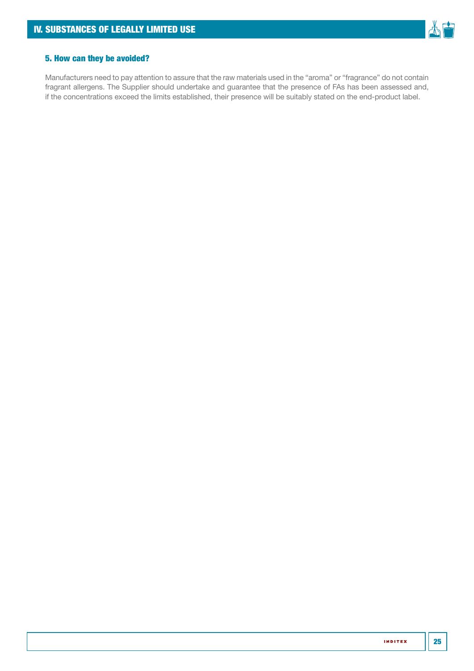

# 5. How can they be avoided?

Manufacturers need to pay attention to assure that the raw materials used in the "aroma" or "fragrance" do not contain fragrant allergens. The Supplier should undertake and guarantee that the presence of FAs has been assessed and, if the concentrations exceed the limits established, their presence will be suitably stated on the end-product label.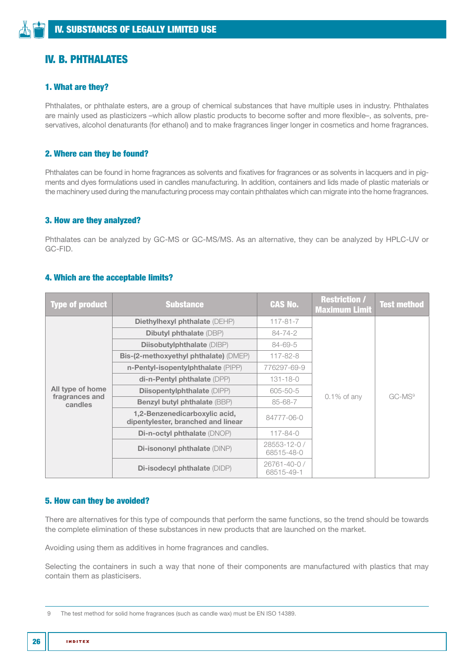# <span id="page-25-0"></span>IV. B. PHTHALATES

# 1. What are they?

Phthalates, or phthalate esters, are a group of chemical substances that have multiple uses in industry. Phthalates are mainly used as plasticizers –which allow plastic products to become softer and more flexible–, as solvents, preservatives, alcohol denaturants (for ethanol) and to make fragrances linger longer in cosmetics and home fragrances.

# 2. Where can they be found?

Phthalates can be found in home fragrances as solvents and fixatives for fragrances or as solvents in lacquers and in pigments and dyes formulations used in candles manufacturing. In addition, containers and lids made of plastic materials or the machinery used during the manufacturing process may contain phthalates which can migrate into the home fragrances.

### 3. How are they analyzed?

Phthalates can be analyzed by GC-MS or GC-MS/MS. As an alternative, they can be analyzed by HPLC-UV or GC-FID.

# 4. Which are the acceptable limits?

| <b>Type of product</b>    | <b>Substance</b>                                                    | <b>CAS No.</b>             | <b>Restriction /</b><br><b>Maximum Limit</b> | <b>Test method</b> |          |
|---------------------------|---------------------------------------------------------------------|----------------------------|----------------------------------------------|--------------------|----------|
|                           | <b>Diethylhexyl phthalate (DEHP)</b>                                | $117 - 81 - 7$             |                                              |                    |          |
|                           | <b>Dibutyl phthalate (DBP)</b>                                      | 84-74-2                    |                                              |                    |          |
|                           | <b>Diisobutylphthalate (DIBP)</b>                                   | 84-69-5                    |                                              |                    |          |
|                           | Bis-(2-methoxyethyl phthalate) (DMEP)                               | $117 - 82 - 8$             |                                              |                    |          |
|                           | n-Pentyl-isopentylphthalate (PIPP)                                  | 776297-69-9                |                                              |                    |          |
|                           | di-n-Pentyl phthalate (DPP)                                         | $131 - 18 - 0$             | $0.1\%$ of any                               |                    |          |
| All type of home          | <b>Diisopentylphthalate (DIPP)</b>                                  | 605-50-5                   |                                              |                    | $GC-MS9$ |
| fragrances and<br>candles | <b>Benzyl butyl phthalate (BBP)</b>                                 | 85-68-7                    |                                              |                    |          |
|                           | 1,2-Benzenedicarboxylic acid,<br>dipentylester, branched and linear | 84777-06-0                 |                                              |                    |          |
|                           | <b>Di-n-octyl phthalate (DNOP)</b>                                  | $117 - 84 - 0$             |                                              |                    |          |
|                           | <b>Di-isononyl phthalate (DINP)</b>                                 | 28553-12-0 /<br>68515-48-0 |                                              |                    |          |
|                           | <b>Di-isodecyl phthalate (DIDP)</b>                                 | 26761-40-0 /<br>68515-49-1 |                                              |                    |          |

# 5. How can they be avoided?

There are alternatives for this type of compounds that perform the same functions, so the trend should be towards the complete elimination of these substances in new products that are launched on the market.

Avoiding using them as additives in home fragrances and candles.

Selecting the containers in such a way that none of their components are manufactured with plastics that may contain them as plasticisers.

9 The test method for solid home fragrances (such as candle wax) must be EN ISO 14389.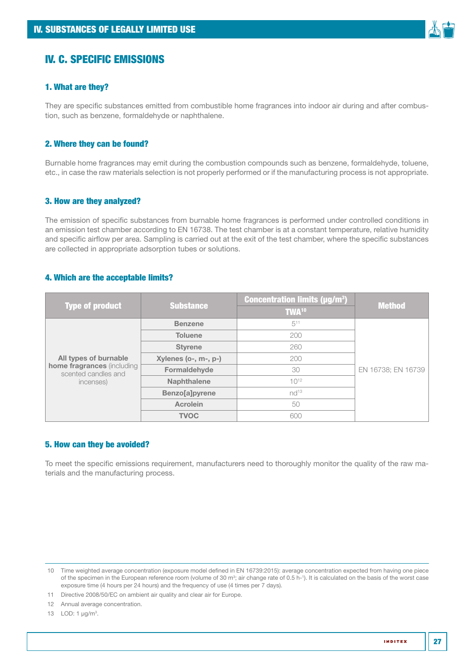

# <span id="page-26-0"></span>IV. C. SPECIFIC EMISSIONS

# 1. What are they?

They are specific substances emitted from combustible home fragrances into indoor air during and after combustion, such as benzene, formaldehyde or naphthalene.

# 2. Where they can be found?

Burnable home fragrances may emit during the combustion compounds such as benzene, formaldehyde, toluene, etc., in case the raw materials selection is not properly performed or if the manufacturing process is not appropriate.

### 3. How are they analyzed?

The emission of specific substances from burnable home fragrances is performed under controlled conditions in an emission test chamber according to EN 16738. The test chamber is at a constant temperature, relative humidity and specific airflow per area. Sampling is carried out at the exit of the test chamber, where the specific substances are collected in appropriate adsorption tubes or solutions.

# 4. Which are the acceptable limits?

|                                                   | <b>Substance</b>     | <b>Concentration limits (µg/m<sup>3</sup>)</b> | <b>Method</b>      |  |
|---------------------------------------------------|----------------------|------------------------------------------------|--------------------|--|
| <b>Type of product</b>                            |                      | TWA <sup>10</sup>                              |                    |  |
|                                                   | <b>Benzene</b>       | $5^{11}$                                       |                    |  |
|                                                   | <b>Toluene</b>       | 200                                            |                    |  |
|                                                   | <b>Styrene</b>       | 260                                            |                    |  |
| All types of burnable                             | Xylenes (o-, m-, p-) | 200                                            |                    |  |
| home fragrances (including<br>scented candles and | Formaldehyde         | 30                                             | EN 16738; EN 16739 |  |
| incenses)                                         | <b>Naphthalene</b>   | $10^{12}$                                      |                    |  |
|                                                   | Benzo[a]pyrene       | $nd^{13}$                                      |                    |  |
|                                                   | <b>Acrolein</b>      | 50                                             |                    |  |
|                                                   | <b>TVOC</b>          | 600                                            |                    |  |

### 5. How can they be avoided?

To meet the specific emissions requirement, manufacturers need to thoroughly monitor the quality of the raw materials and the manufacturing process.

12 Annual average concentration.

13 LOD: 1 µg/m<sup>3</sup>.

<sup>10</sup> Time weighted average concentration (exposure model defined in EN 16739:2015): average concentration expected from having one piece of the specimen in the European reference room (volume of 30 m<sup>3</sup>; air change rate of 0.5 h-<sup>1</sup>). It is calculated on the basis of the worst case exposure time (4 hours per 24 hours) and the frequency of use (4 times per 7 days).

<sup>11</sup> Directive 2008/50/EC on ambient air quality and clear air for Europe.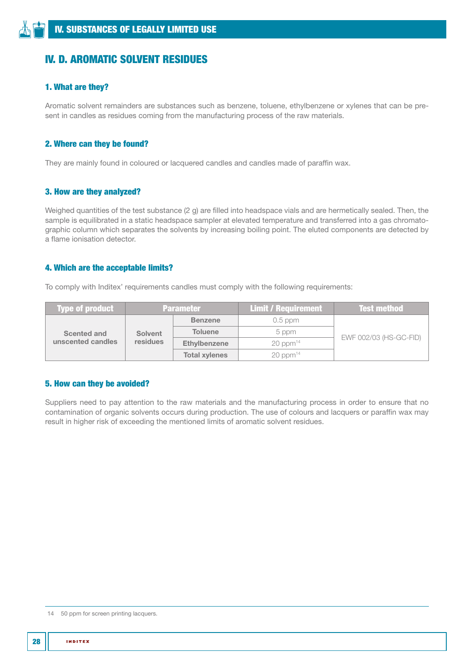# <span id="page-27-0"></span>IV. D. AROMATIC SOLVENT RESIDUES

# 1. What are they?

Aromatic solvent remainders are substances such as benzene, toluene, ethylbenzene or xylenes that can be present in candles as residues coming from the manufacturing process of the raw materials.

# 2. Where can they be found?

They are mainly found in coloured or lacquered candles and candles made of paraffin wax.

# 3. How are they analyzed?

Weighed quantities of the test substance (2 g) are filled into headspace vials and are hermetically sealed. Then, the sample is equilibrated in a static headspace sampler at elevated temperature and transferred into a gas chromatographic column which separates the solvents by increasing boiling point. The eluted components are detected by a flame ionisation detector.

### 4. Which are the acceptable limits?

To comply with Inditex' requirements candles must comply with the following requirements:

| Type of product                  | Parameter '                                                                                 |                        | ' Limit / Reauirement  | <b>Test method</b>     |  |
|----------------------------------|---------------------------------------------------------------------------------------------|------------------------|------------------------|------------------------|--|
| Scented and<br>unscented candles |                                                                                             | <b>Benzene</b>         | $0.5$ ppm              |                        |  |
|                                  | <b>Toluene</b><br><b>Solvent</b><br>residues<br><b>Ethylbenzene</b><br><b>Total xylenes</b> |                        | 5 ppm                  |                        |  |
|                                  |                                                                                             |                        | $20$ ppm <sup>14</sup> | EWF 002/03 (HS-GC-FID) |  |
|                                  |                                                                                             | $20$ ppm <sup>14</sup> |                        |                        |  |

# 5. How can they be avoided?

Suppliers need to pay attention to the raw materials and the manufacturing process in order to ensure that no contamination of organic solvents occurs during production. The use of colours and lacquers or paraffin wax may result in higher risk of exceeding the mentioned limits of aromatic solvent residues.

<sup>14 50</sup> ppm for screen printing lacquers.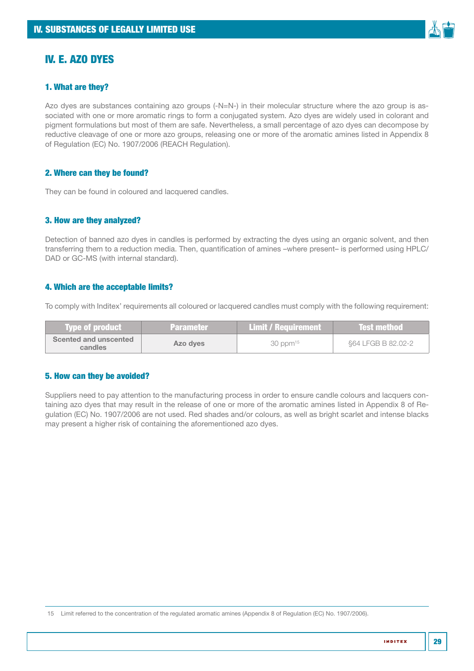# <span id="page-28-0"></span>IV. E. AZO DYES

### 1. What are they?

Azo dyes are substances containing azo groups (-N=N-) in their molecular structure where the azo group is associated with one or more aromatic rings to form a conjugated system. Azo dyes are widely used in colorant and pigment formulations but most of them are safe. Nevertheless, a small percentage of azo dyes can decompose by reductive cleavage of one or more azo groups, releasing one or more of the aromatic amines listed in Appendix 8 of Regulation (EC) No. 1907/2006 (REACH Regulation).

# 2. Where can they be found?

They can be found in coloured and lacquered candles.

### 3. How are they analyzed?

Detection of banned azo dyes in candles is performed by extracting the dyes using an organic solvent, and then transferring them to a reduction media. Then, quantification of amines –where present– is performed using HPLC/ DAD or GC-MS (with internal standard).

# 4. Which are the acceptable limits?

To comply with Inditex' requirements all coloured or lacquered candles must comply with the following requirement:

| <b>Type of product</b>           | <b>Parameter</b> | <b>Limit / Requirement</b> | <b>Test method</b> |
|----------------------------------|------------------|----------------------------|--------------------|
| Scented and unscented<br>candles | Azo dyes         | $30$ ppm $^{15}$           | §64 LFGB B 82.02-2 |

### 5. How can they be avoided?

Suppliers need to pay attention to the manufacturing process in order to ensure candle colours and lacquers containing azo dyes that may result in the release of one or more of the aromatic amines listed in Appendix 8 of Regulation (EC) No. 1907/2006 are not used. Red shades and/or colours, as well as bright scarlet and intense blacks may present a higher risk of containing the aforementioned azo dyes.

15 Limit referred to the concentration of the regulated aromatic amines (Appendix 8 of Regulation (EC) No. 1907/2006).

29

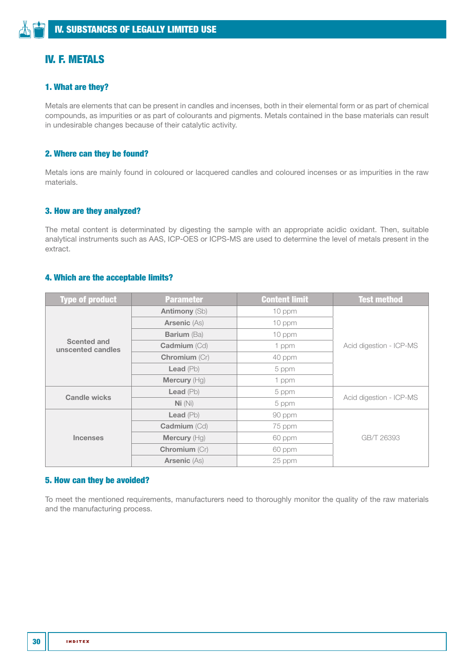# <span id="page-29-0"></span>IV. F. METALS

# 1. What are they?

Metals are elements that can be present in candles and incenses, both in their elemental form or as part of chemical compounds, as impurities or as part of colourants and pigments. Metals contained in the base materials can result in undesirable changes because of their catalytic activity.

# 2. Where can they be found?

Metals ions are mainly found in coloured or lacquered candles and coloured incenses or as impurities in the raw materials.

# 3. How are they analyzed?

The metal content is determinated by digesting the sample with an appropriate acidic oxidant. Then, suitable analytical instruments such as AAS, ICP-OES or ICPS-MS are used to determine the level of metals present in the extract.

### 4. Which are the acceptable limits?

| <b>Type of product</b>           | <b>Parameter</b>     | <b>Content limit</b> | <b>Test method</b>      |
|----------------------------------|----------------------|----------------------|-------------------------|
|                                  | <b>Antimony (Sb)</b> | 10 ppm               |                         |
|                                  | <b>Arsenic (As)</b>  | 10 ppm               |                         |
|                                  | Barium (Ba)          | 10 ppm               |                         |
| Scented and<br>unscented candles | Cadmium (Cd)         | 1 ppm                | Acid digestion - ICP-MS |
|                                  | <b>Chromium</b> (Cr) | 40 ppm               |                         |
|                                  | <b>Lead</b> $(Pb)$   | 5 ppm                |                         |
|                                  | Mercury (Hg)         | 1 ppm                |                         |
| <b>Candle wicks</b>              | <b>Lead</b> $(Pb)$   | 5 ppm                | Acid digestion - ICP-MS |
|                                  | Ni (Ni)              | 5 ppm                |                         |
|                                  | Lead (Pb)            | 90 ppm               |                         |
| <b>Incenses</b>                  | <b>Cadmium (Cd)</b>  | 75 ppm               |                         |
|                                  | Mercury (Hg)         | 60 ppm               | GB/T 26393              |
|                                  | Chromium (Cr)        | 60 ppm               |                         |
|                                  | <b>Arsenic (As)</b>  | 25 ppm               |                         |

### 5. How can they be avoided?

To meet the mentioned requirements, manufacturers need to thoroughly monitor the quality of the raw materials and the manufacturing process.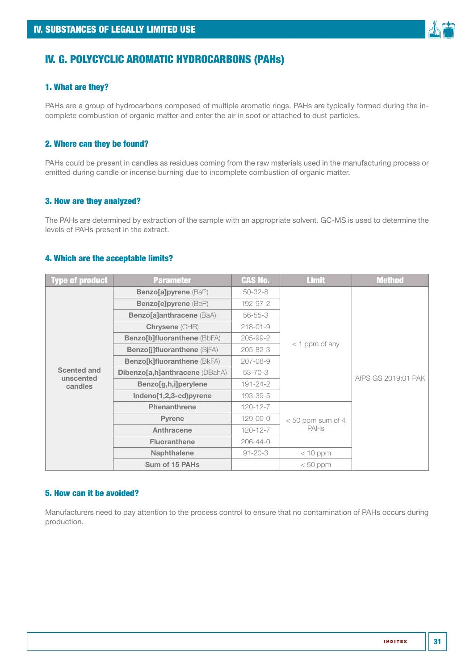

# <span id="page-30-0"></span>IV. G. POLYCYCLIC AROMATIC HYDROCARBONS (PAHs)

# 1. What are they?

PAHs are a group of hydrocarbons composed of multiple aromatic rings. PAHs are typically formed during the incomplete combustion of organic matter and enter the air in soot or attached to dust particles.

# 2. Where can they be found?

PAHs could be present in candles as residues coming from the raw materials used in the manufacturing process or emitted during candle or incense burning due to incomplete combustion of organic matter.

# 3. How are they analyzed?

The PAHs are determined by extraction of the sample with an appropriate solvent. GC-MS is used to determine the levels of PAHs present in the extract.

# 4. Which are the acceptable limits?

| <b>Type of product</b> | <b>Parameter</b>                   | <b>CAS No.</b> | <b>Limit</b>        | <b>Method</b> |
|------------------------|------------------------------------|----------------|---------------------|---------------|
|                        | Benzo[a]pyrene (BaP)               | $50 - 32 - 8$  |                     |               |
|                        | <b>Benzo[e]pyrene (BeP)</b>        | 192-97-2       |                     |               |
|                        | Benzo[a]anthracene (BaA)           | 56-55-3        |                     |               |
|                        | <b>Chrysene (CHR)</b>              | $218 - 01 - 9$ |                     |               |
|                        | <b>Benzo[b]fluoranthene (BbFA)</b> | 205-99-2       |                     |               |
| <b>Scented and</b>     | <b>Benzo[j]fluoranthene (BjFA)</b> | $205 - 82 - 3$ | $<$ 1 ppm of any    |               |
|                        | <b>Benzo[k]fluoranthene (BkFA)</b> | $207 - 08 - 9$ |                     |               |
|                        | Dibenzo[a,h]anthracene (DBahA)     | 53-70-3        |                     |               |
| unscented<br>candles   | Benzo[g,h,i]perylene               | $191 - 24 - 2$ |                     |               |
|                        | Indeno[1,2,3-cd)pyrene             | 193-39-5       |                     |               |
|                        | <b>Phenanthrene</b>                | $120 - 12 - 7$ |                     |               |
|                        | <b>Pyrene</b>                      | $129 - 00 - 0$ | $< 50$ ppm sum of 4 |               |
|                        | Anthracene                         | $120 - 12 - 7$ | <b>PAHs</b>         |               |
|                        | <b>Fluoranthene</b>                | $206 - 44 - 0$ |                     |               |
|                        | <b>Naphthalene</b>                 | $91 - 20 - 3$  | $< 10$ ppm          |               |
|                        | Sum of 15 PAHs                     |                | $< 50$ ppm          |               |

# 5. How can it be avoided?

Manufacturers need to pay attention to the process control to ensure that no contamination of PAHs occurs during production.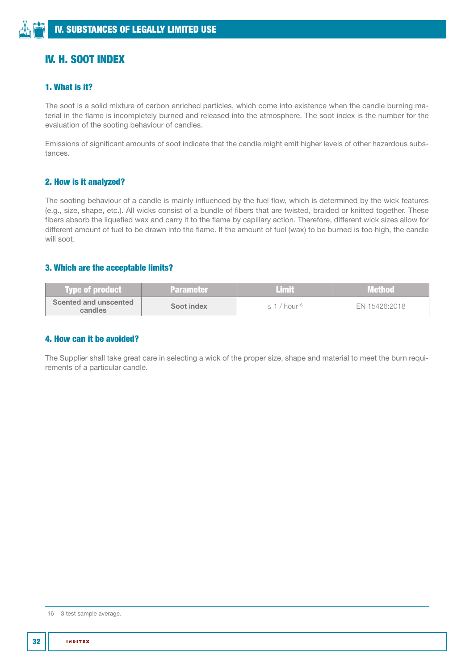# <span id="page-31-0"></span>IV. H. SOOT INDEX

# 1. What is it?

The soot is a solid mixture of carbon enriched particles, which come into existence when the candle burning material in the flame is incompletely burned and released into the atmosphere. The soot index is the number for the evaluation of the sooting behaviour of candles.

Emissions of significant amounts of soot indicate that the candle might emit higher levels of other hazardous substances.

### 2. How is it analyzed?

The sooting behaviour of a candle is mainly influenced by the fuel flow, which is determined by the wick features (e.g., size, shape, etc.). All wicks consist of a bundle of fibers that are twisted, braided or knitted together. These fibers absorb the liquefied wax and carry it to the flame by capillary action. Therefore, different wick sizes allow for different amount of fuel to be drawn into the flame. If the amount of fuel (wax) to be burned is too high, the candle will soot.

# 3. Which are the acceptable limits?

| Type of product                  | Parameter  | Limit                           | <b>Method</b> |
|----------------------------------|------------|---------------------------------|---------------|
| Scented and unscented<br>candles | Soot index | $\leq$ 1 / hour <sup>16</sup> . | FN 15426:2018 |

# 4. How can it be avoided?

The Supplier shall take great care in selecting a wick of the proper size, shape and material to meet the burn requirements of a particular candle.

<sup>16</sup> 3 test sample average.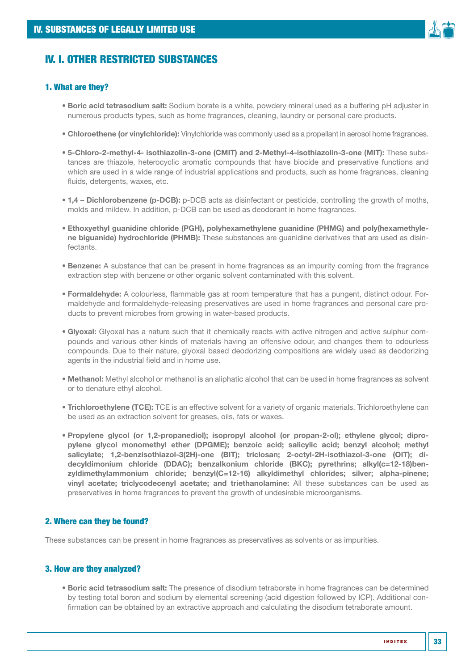

# <span id="page-32-0"></span>IV. I. OTHER RESTRICTED SUBSTANCES

# 1. What are they?

- Boric acid tetrasodium salt: Sodium borate is a white, powdery mineral used as a buffering pH adjuster in numerous products types, such as home fragrances, cleaning, laundry or personal care products.
- Chloroethene (or vinylchloride): Vinylchloride was commonly used as a propellant in aerosol home fragrances.
- 5-Chloro-2-methyl-4- isothiazolin-3-one (CMIT) and 2-Methyl-4-isothiazolin-3-one (MIT): These substances are thiazole, heterocyclic aromatic compounds that have biocide and preservative functions and which are used in a wide range of industrial applications and products, such as home fragrances, cleaning fluids, detergents, waxes, etc.
- 1,4 Dichlorobenzene (p-DCB): p-DCB acts as disinfectant or pesticide, controlling the growth of moths, molds and mildew. In addition, p-DCB can be used as deodorant in home fragrances.
- Ethoxyethyl guanidine chloride (PGH), polyhexamethylene guanidine (PHMG) and poly(hexamethylene biguanide) hydrochloride (PHMB): These substances are guanidine derivatives that are used as disinfectants.
- Benzene: A substance that can be present in home fragrances as an impurity coming from the fragrance extraction step with benzene or other organic solvent contaminated with this solvent.
- Formaldehyde: A colourless, flammable gas at room temperature that has a pungent, distinct odour. Formaldehyde and formaldehyde-releasing preservatives are used in home fragrances and personal care products to prevent microbes from growing in water-based products.
- Glyoxal: Glyoxal has a nature such that it chemically reacts with active nitrogen and active sulphur compounds and various other kinds of materials having an offensive odour, and changes them to odourless compounds. Due to their nature, glyoxal based deodorizing compositions are widely used as deodorizing agents in the industrial field and in home use.
- Methanol: Methyl alcohol or methanol is an aliphatic alcohol that can be used in home fragrances as solvent or to denature ethyl alcohol.
- Trichloroethylene (TCE): TCE is an effective solvent for a variety of organic materials. Trichloroethylene can be used as an extraction solvent for greases, oils, fats or waxes.
- Propylene glycol (or 1,2-propanediol); isopropyl alcohol (or propan-2-ol); ethylene glycol; dipropylene glycol monomethyl ether (DPGME); benzoic acid; salicylic acid; benzyl alcohol; methyl salicylate; 1,2-benzisothiazol-3(2H)-one (BIT); triclosan; 2-octyl-2H-isothiazol-3-one (OIT); didecyldimonium chloride (DDAC); benzalkonium chloride (BKC); pyrethrins; alkyl(c=12-18)benzyldimethylammonium chloride; benzyl(C=12-16) alkyldimethyl chlorides; silver; alpha-pinene; vinyl acetate; triclycodecenyl acetate; and triethanolamine: All these substances can be used as preservatives in home fragrances to prevent the growth of undesirable microorganisms.

# 2. Where can they be found?

These substances can be present in home fragrances as preservatives as solvents or as impurities.

### 3. How are they analyzed?

• Boric acid tetrasodium salt: The presence of disodium tetraborate in home fragrances can be determined by testing total boron and sodium by elemental screening (acid digestion followed by ICP). Additional confirmation can be obtained by an extractive approach and calculating the disodium tetraborate amount.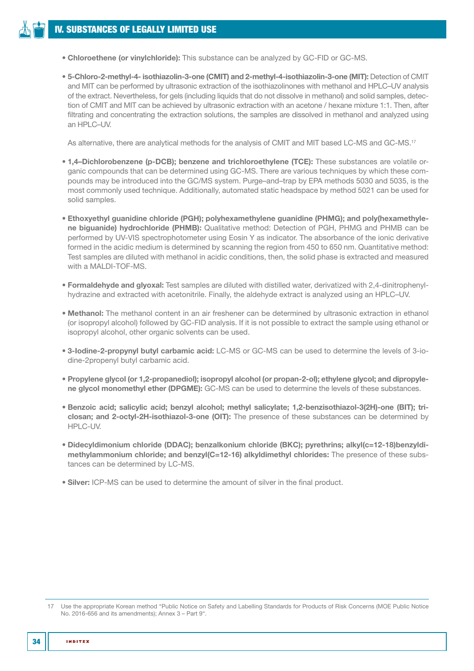

- Chloroethene (or vinylchloride): This substance can be analyzed by GC-FID or GC-MS.
- 5-Chloro-2-methyl-4- isothiazolin-3-one (CMIT) and 2-methyl-4-isothiazolin-3-one (MIT): Detection of CMIT and MIT can be performed by ultrasonic extraction of the isothiazolinones with methanol and HPLC–UV analysis of the extract. Nevertheless, for gels (including liquids that do not dissolve in methanol) and solid samples, detection of CMIT and MIT can be achieved by ultrasonic extraction with an acetone / hexane mixture 1:1. Then, after filtrating and concentrating the extraction solutions, the samples are dissolved in methanol and analyzed using an HPLC–UV.

As alternative, there are analytical methods for the analysis of CMIT and MIT based LC-MS and GC-MS.17

- 1,4–Dichlorobenzene (p-DCB); benzene and trichloroethylene (TCE): These substances are volatile organic compounds that can be determined using GC-MS. There are various techniques by which these compounds may be introduced into the GC/MS system. Purge–and–trap by EPA methods 5030 and 5035, is the most commonly used technique. Additionally, automated static headspace by method 5021 can be used for solid samples.
- Ethoxyethyl guanidine chloride (PGH); polyhexamethylene guanidine (PHMG); and poly(hexamethylene biguanide) hydrochloride (PHMB): Qualitative method: Detection of PGH, PHMG and PHMB can be performed by UV-VIS spectrophotometer using Eosin Y as indicator. The absorbance of the ionic derivative formed in the acidic medium is determined by scanning the region from 450 to 650 nm. Quantitative method: Test samples are diluted with methanol in acidic conditions, then, the solid phase is extracted and measured with a MALDI-TOF-MS.
- Formaldehyde and glyoxal: Test samples are diluted with distilled water, derivatized with 2,4-dinitrophenylhydrazine and extracted with acetonitrile. Finally, the aldehyde extract is analyzed using an HPLC–UV.
- Methanol: The methanol content in an air freshener can be determined by ultrasonic extraction in ethanol (or isopropyl alcohol) followed by GC-FID analysis. If it is not possible to extract the sample using ethanol or isopropyl alcohol, other organic solvents can be used.
- 3-Iodine-2-propynyl butyl carbamic acid: LC-MS or GC-MS can be used to determine the levels of 3-iodine-2propenyl butyl carbamic acid.
- Propylene glycol (or 1,2-propanediol); isopropyl alcohol (or propan-2-ol); ethylene glycol; and dipropylene glycol monomethyl ether (DPGME): GC-MS can be used to determine the levels of these substances.
- Benzoic acid; salicylic acid; benzyl alcohol; methyl salicylate; 1,2-benzisothiazol-3(2H)-one (BIT); triclosan; and 2-octyl-2H-isothiazol-3-one (OIT): The presence of these substances can be determined by HPLC-UV.
- Didecyldimonium chloride (DDAC); benzalkonium chloride (BKC); pyrethrins; alkyl(c=12-18)benzyldimethylammonium chloride; and benzyl(C=12-16) alkyldimethyl chlorides: The presence of these substances can be determined by LC-MS.
- Silver: ICP-MS can be used to determine the amount of silver in the final product.

<sup>17</sup> Use the appropriate Korean method "Public Notice on Safety and Labelling Standards for Products of Risk Concerns (MOE Public Notice No. 2016-656 and its amendments); Annex 3 – Part 9".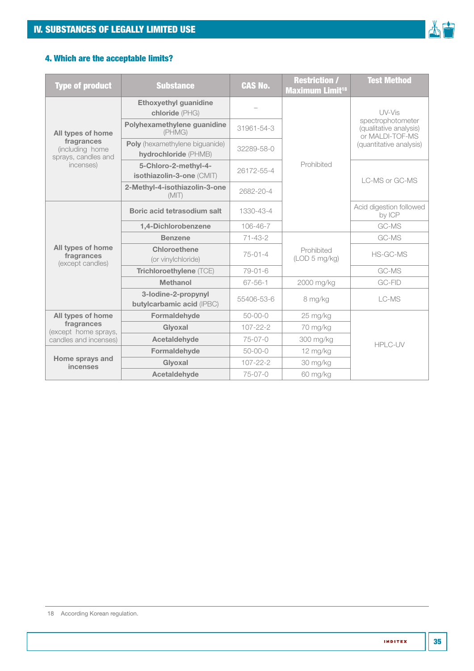

# 4. Which are the acceptable limits?

| <b>Type of product</b>                                      | <b>Substance</b>                                              | <b>CAS No.</b> | <b>Restriction /</b><br><b>Maximum Limit<sup>18</sup></b> | <b>Test Method</b>                                             |
|-------------------------------------------------------------|---------------------------------------------------------------|----------------|-----------------------------------------------------------|----------------------------------------------------------------|
|                                                             | <b>Ethoxyethyl guanidine</b><br>chloride (PHG)                |                |                                                           | l JV-Vis                                                       |
| All types of home                                           | Polyhexamethylene guanidine<br>(PHMG)                         | 31961-54-3     |                                                           | spectrophotometer<br>(qualitative analysis)<br>or MALDI-TOF-MS |
| fragrances<br>(including home<br>sprays, candles and        | <b>Poly</b> (hexamethylene biguanide)<br>hydrochloride (PHMB) | 32289-58-0     |                                                           | (quantitative analysis)                                        |
| incenses)                                                   | 5-Chloro-2-methyl-4-<br>isothiazolin-3-one (CMIT)             | 26172-55-4     | Prohibited                                                | LC-MS or GC-MS                                                 |
|                                                             | 2-Methyl-4-isothiazolin-3-one<br>(MIT)                        | 2682-20-4      |                                                           |                                                                |
|                                                             | Boric acid tetrasodium salt                                   | 1330-43-4      |                                                           | Acid digestion followed<br>by ICP                              |
|                                                             | 1,4-Dichlorobenzene                                           | $106 - 46 - 7$ |                                                           | GC-MS                                                          |
|                                                             | <b>Benzene</b>                                                | $71 - 43 - 2$  |                                                           | GC-MS                                                          |
| All types of home<br>fragrances<br>(except candles)         | Chloroethene<br>(or vinylchloride)                            | $75-01-4$      | Prohibited<br>(LOD 5 mg/kg)                               | HS-GC-MS                                                       |
|                                                             | Trichloroethylene (TCE)                                       | $79 - 01 - 6$  |                                                           | GC-MS                                                          |
|                                                             | <b>Methanol</b>                                               | $67 - 56 - 1$  | 2000 mg/kg                                                | GC-FID                                                         |
|                                                             | 3-lodine-2-propynyl<br>butylcarbamic acid (IPBC)              | 55406-53-6     | 8 mg/kg                                                   | LC-MS                                                          |
| All types of home                                           | Formaldehyde                                                  | $50-00-0$      | 25 mg/kg                                                  |                                                                |
| fragrances<br>(except home sprays,<br>candles and incenses) | Glyoxal                                                       | $107 - 22 - 2$ | 70 mg/kg                                                  |                                                                |
|                                                             | Acetaldehyde                                                  | $75-07-0$      | 300 mg/kg                                                 | <b>HPLC-UV</b>                                                 |
|                                                             | Formaldehyde                                                  | $50 - 00 - 0$  | 12 mg/kg                                                  |                                                                |
| Home sprays and<br>incenses                                 | Glyoxal                                                       | $107 - 22 - 2$ | 30 mg/kg                                                  |                                                                |
|                                                             | Acetaldehyde                                                  | $75 - 07 - 0$  | 60 mg/kg                                                  |                                                                |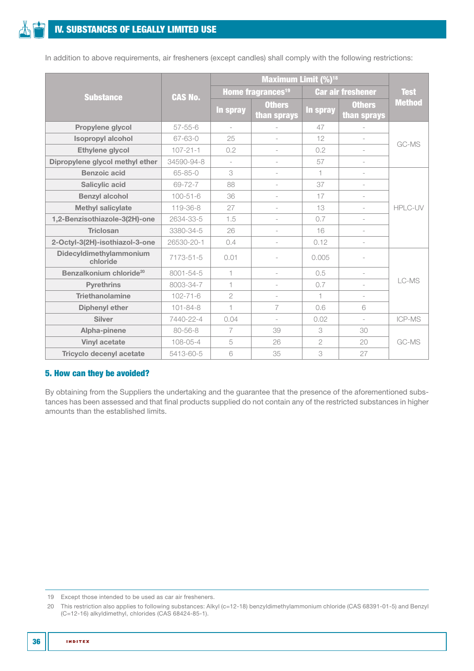In addition to above requirements, air fresheners (except candles) shall comply with the following restrictions:

| <b>Substance</b>                    | <b>CAS No.</b> | Home fragrances <sup>19</sup> |                              | <b>Car air freshener</b> |                              | <b>Test</b>   |
|-------------------------------------|----------------|-------------------------------|------------------------------|--------------------------|------------------------------|---------------|
|                                     |                | <b>In spray</b>               | <b>Others</b><br>than sprays | <b>In spray</b>          | <b>Others</b><br>than sprays | <b>Method</b> |
| Propylene glycol                    | $57 - 55 - 6$  | $\overline{\phantom{a}}$      | $\overline{\phantom{0}}$     | 47                       |                              |               |
| <b>Isopropyl alcohol</b>            | 67-63-0        | 25                            | $\overline{a}$               | 12                       |                              | GC-MS         |
| <b>Ethylene glycol</b>              | $107 - 21 - 1$ | 0.2                           | $\overline{\phantom{a}}$     | 0.2                      | $\overline{\phantom{a}}$     |               |
| Dipropylene glycol methyl ether     | 34590-94-8     | $\overline{\phantom{a}}$      | $\overline{\phantom{a}}$     | 57                       | $\overline{\phantom{a}}$     |               |
| <b>Benzoic acid</b>                 | 65-85-0        | 3                             | $\overline{\phantom{a}}$     | $\overline{1}$           | $\overline{\phantom{a}}$     |               |
| Salicylic acid                      | 69-72-7        | 88                            | $\overline{\phantom{a}}$     | 37                       | $\overline{\phantom{a}}$     |               |
| <b>Benzyl alcohol</b>               | $100 - 51 - 6$ | 36                            | $\overline{\phantom{a}}$     | 17                       | $\overline{\phantom{a}}$     |               |
| <b>Methyl salicylate</b>            | 119-36-8       | 27                            | $\overline{\phantom{a}}$     | 13                       | $\overline{\phantom{a}}$     | HPLC-UV       |
| 1,2-Benzisothiazole-3(2H)-one       | 2634-33-5      | 1.5                           | $\overline{\phantom{a}}$     | 0.7                      | $\overline{\phantom{a}}$     |               |
| Triclosan                           | 3380-34-5      | 26                            | $\overline{\phantom{a}}$     | 16                       | $\overline{\phantom{a}}$     |               |
| 2-Octyl-3(2H)-isothiazol-3-one      | 26530-20-1     | 0.4                           | $\overline{\phantom{a}}$     | 0.12                     | $\overline{a}$               |               |
| Didecyldimethylammonium<br>chloride | 7173-51-5      | 0.01                          |                              | 0.005                    |                              |               |
| Benzalkonium chloride <sup>20</sup> | 8001-54-5      | $\mathbf{1}$                  | $\overline{\phantom{a}}$     | 0.5                      | $\overline{\phantom{a}}$     |               |
| <b>Pyrethrins</b>                   | 8003-34-7      | 1                             | $\overline{\phantom{a}}$     | 0.7                      | $\overline{\phantom{a}}$     | LC-MS         |
| Triethanolamine                     | $102 - 71 - 6$ | $\overline{2}$                | $\overline{\phantom{a}}$     | $\overline{1}$           | $\overline{\phantom{a}}$     |               |
| <b>Diphenyl ether</b>               | $101 - 84 - 8$ | 1                             | 7                            | 0.6                      | 6                            |               |
| <b>Silver</b>                       | 7440-22-4      | 0.04                          | $\overline{\phantom{a}}$     | 0.02                     | $\overline{\phantom{a}}$     | <b>ICP-MS</b> |
| Alpha-pinene                        | $80 - 56 - 8$  | $\overline{7}$                | 39                           | 3                        | 30                           |               |
| <b>Vinyl acetate</b>                | 108-05-4       | 5                             | 26                           | $\overline{2}$           | 20                           | GC-MS         |
| <b>Tricyclo decenyl acetate</b>     | 5413-60-5      | 6                             | 35                           | 3                        | 27                           |               |

# 5. How can they be avoided?

By obtaining from the Suppliers the undertaking and the guarantee that the presence of the aforementioned substances has been assessed and that final products supplied do not contain any of the restricted substances in higher amounts than the established limits.

<sup>19</sup> Except those intended to be used as car air fresheners.

<sup>20</sup> This restriction also applies to following substances: Alkyl (c=12-18) benzyldimethylammonium chloride (CAS 68391-01-5) and Benzyl (C=12-16) alkyldimethyl, chlorides (CAS 68424-85-1).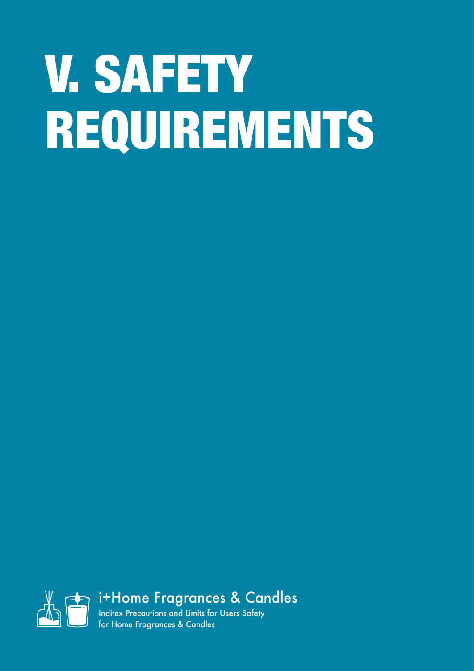# <span id="page-36-0"></span>V. SAFETY REQUIREMENTS

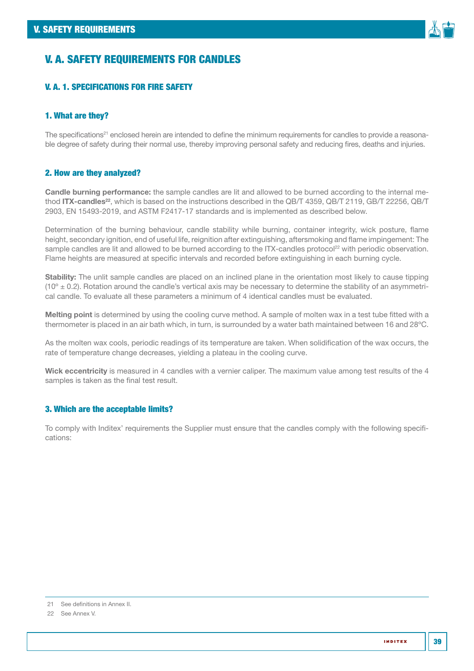

## V. A. SAFETY REQUIREMENTS FOR CANDLES

#### V. A. 1. SPECIFICATIONS FOR FIRE SAFETY

#### 1. What are they?

The specifications<sup>21</sup> enclosed herein are intended to define the minimum requirements for candles to provide a reasonable degree of safety during their normal use, thereby improving personal safety and reducing fires, deaths and injuries.

#### 2. How are they analyzed?

Candle burning performance: the sample candles are lit and allowed to be burned according to the internal method ITX-candles<sup>22</sup>, which is based on the instructions described in the QB/T 4359, QB/T 2119, GB/T 22256, QB/T 2903, EN 15493-2019, and ASTM F2417-17 standards and is implemented as described below.

Determination of the burning behaviour, candle stability while burning, container integrity, wick posture, flame height, secondary ignition, end of useful life, reignition after extinguishing, aftersmoking and flame impingement: The sample candles are lit and allowed to be burned according to the ITX-candles protocol<sup>22</sup> with periodic observation. Flame heights are measured at specific intervals and recorded before extinguishing in each burning cycle.

Stability: The unlit sample candles are placed on an inclined plane in the orientation most likely to cause tipping  $(10^\circ \pm 0.2)$ . Rotation around the candle's vertical axis may be necessary to determine the stability of an asymmetrical candle. To evaluate all these parameters a minimum of 4 identical candles must be evaluated.

Melting point is determined by using the cooling curve method. A sample of molten wax in a test tube fitted with a thermometer is placed in an air bath which, in turn, is surrounded by a water bath maintained between 16 and 28ºC.

As the molten wax cools, periodic readings of its temperature are taken. When solidification of the wax occurs, the rate of temperature change decreases, yielding a plateau in the cooling curve.

Wick eccentricity is measured in 4 candles with a vernier caliper. The maximum value among test results of the 4 samples is taken as the final test result.

#### 3. Which are the acceptable limits?

To comply with Inditex' requirements the Supplier must ensure that the candles comply with the following specifications:

<sup>21</sup> See definitions in [Annex II](#page-63-0).

<sup>22</sup> See [Annex V](#page-73-0).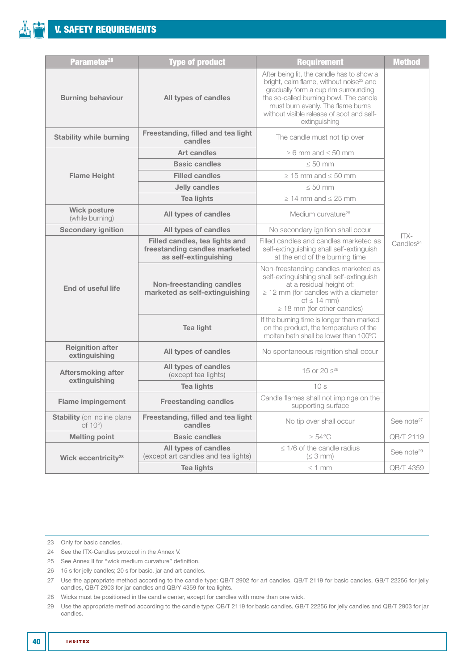

| Parameter <sup>28</sup>                                 | <b>Type of product</b>                                                                   | <b>Requirement</b>                                                                                                                                                                                                                                                                    | <b>Method</b>          |  |
|---------------------------------------------------------|------------------------------------------------------------------------------------------|---------------------------------------------------------------------------------------------------------------------------------------------------------------------------------------------------------------------------------------------------------------------------------------|------------------------|--|
| <b>Burning behaviour</b>                                | All types of candles                                                                     | After being lit, the candle has to show a<br>bright, calm flame, without noise <sup>23</sup> and<br>gradually form a cup rim surrounding<br>the so-called burning bowl. The candle<br>must burn evenly. The flame burns<br>without visible release of soot and self-<br>extinguishing |                        |  |
| <b>Stability while burning</b>                          | Freestanding, filled and tea light<br>candles                                            | The candle must not tip over                                                                                                                                                                                                                                                          |                        |  |
|                                                         | <b>Art candles</b>                                                                       | $\geq 6$ mm and $\leq 50$ mm                                                                                                                                                                                                                                                          |                        |  |
|                                                         | <b>Basic candles</b>                                                                     | $\leq 50$ mm                                                                                                                                                                                                                                                                          |                        |  |
| <b>Flame Height</b>                                     | <b>Filled candles</b>                                                                    | $\geq$ 15 mm and $\leq$ 50 mm                                                                                                                                                                                                                                                         |                        |  |
|                                                         | <b>Jelly candles</b>                                                                     | $\leq 50$ mm                                                                                                                                                                                                                                                                          |                        |  |
|                                                         | <b>Tea lights</b>                                                                        | $\geq$ 14 mm and $\leq$ 25 mm                                                                                                                                                                                                                                                         |                        |  |
| <b>Wick posture</b><br>(while burning)                  | All types of candles                                                                     | Medium curvature <sup>25</sup>                                                                                                                                                                                                                                                        |                        |  |
| <b>Secondary ignition</b>                               | No secondary ignition shall occur<br>All types of candles                                |                                                                                                                                                                                                                                                                                       | $ITX-$                 |  |
| End of useful life                                      | Filled candles, tea lights and<br>freestanding candles marketed<br>as self-extinguishing | Filled candles and candles marketed as<br>self-extinguishing shall self-extinguish<br>at the end of the burning time                                                                                                                                                                  | Candles <sup>24</sup>  |  |
|                                                         | <b>Non-freestanding candles</b><br>marketed as self-extinguishing                        | Non-freestanding candles marketed as<br>self-extinguishing shall self-extinguish<br>at a residual height of:<br>$\geq$ 12 mm (for candles with a diameter<br>of $\leq 14$ mm)<br>$\geq$ 18 mm (for other candles)                                                                     |                        |  |
|                                                         | <b>Tea light</b>                                                                         | If the burning time is longer than marked<br>on the product, the temperature of the<br>molten bath shall be lower than 100°C                                                                                                                                                          |                        |  |
| <b>Reignition after</b><br>extinguishing                | All types of candles                                                                     | No spontaneous reignition shall occur                                                                                                                                                                                                                                                 |                        |  |
| <b>Aftersmoking after</b><br>extinguishing              | All types of candles<br>(except tea lights)                                              | 15 or 20 s <sup>26</sup>                                                                                                                                                                                                                                                              |                        |  |
|                                                         | Tea lights                                                                               | 10s                                                                                                                                                                                                                                                                                   |                        |  |
| <b>Flame impingement</b>                                | <b>Freestanding candles</b>                                                              | Candle flames shall not impinge on the<br>supporting surface                                                                                                                                                                                                                          |                        |  |
| <b>Stability</b> (on incline plane<br>of $10^{\circ}$ ) | Freestanding, filled and tea light<br>candles                                            | No tip over shall occur                                                                                                                                                                                                                                                               | See note <sup>27</sup> |  |
| <b>Melting point</b>                                    | <b>Basic candles</b>                                                                     | $>54^{\circ}$ C                                                                                                                                                                                                                                                                       | QB/T 2119              |  |
| Wick eccentricity <sup>28</sup>                         | All types of candles<br>(except art candles and tea lights)                              | $\leq$ 1/6 of the candle radius<br>$(\leq 3$ mm)                                                                                                                                                                                                                                      | See note <sup>29</sup> |  |
|                                                         | <b>Tea lights</b>                                                                        | $\leq 1$ mm                                                                                                                                                                                                                                                                           | QB/T 4359              |  |

23 Only for basic candles.

- 24 See the ITX-Candles protocol in the [Annex V.](#page-73-0)
- 25 See [Annex II](#page-63-0) for "wick medium curvature" definition.
- 26 15 s for jelly candles; 20 s for basic, jar and art candles.
- 27 Use the appropriate method according to the candle type: QB/T 2902 for art candles, QB/T 2119 for basic candles, GB/T 22256 for jelly candles, QB/T 2903 for jar candles and QB/Y 4359 for tea lights.
- 28 Wicks must be positioned in the candle center, except for candles with more than one wick.
- 29 Use the appropriate method according to the candle type: QB/T 2119 for basic candles, GB/T 22256 for jelly candles and QB/T 2903 for jar candles.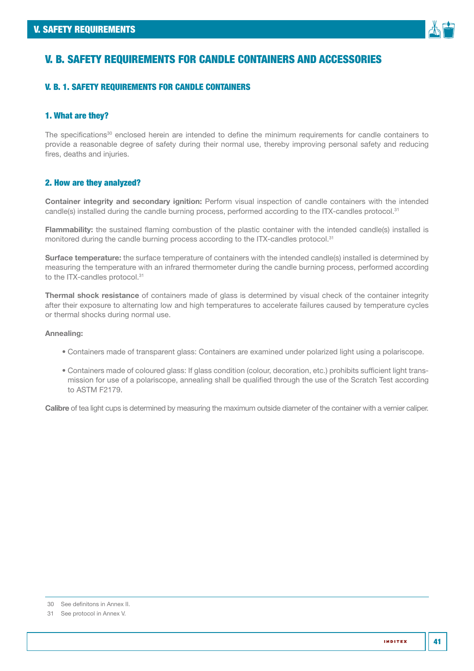

## V. B. SAFETY REQUIREMENTS FOR CANDLE CONTAINERS AND ACCESSORIES

#### V. B. 1. SAFETY REQUIREMENTS FOR CANDLE CONTAINERS

#### 1. What are they?

The specifications<sup>30</sup> enclosed herein are intended to define the minimum requirements for candle containers to provide a reasonable degree of safety during their normal use, thereby improving personal safety and reducing fires, deaths and injuries.

#### 2. How are they analyzed?

Container integrity and secondary ignition: Perform visual inspection of candle containers with the intended candle(s) installed during the candle burning process, performed according to the ITX-candles protocol.<sup>31</sup>

Flammability: the sustained flaming combustion of the plastic container with the intended candle(s) installed is monitored during the candle burning process according to the ITX-candles protocol.31

Surface temperature: the surface temperature of containers with the intended candle(s) installed is determined by measuring the temperature with an infrared thermometer during the candle burning process, performed according to the ITX-candles protocol.<sup>31</sup>

Thermal shock resistance of containers made of glass is determined by visual check of the container integrity after their exposure to alternating low and high temperatures to accelerate failures caused by temperature cycles or thermal shocks during normal use.

#### Annealing:

- Containers made of transparent glass: Containers are examined under polarized light using a polariscope.
- Containers made of coloured glass: If glass condition (colour, decoration, etc.) prohibits sufficient light transmission for use of a polariscope, annealing shall be qualified through the use of the Scratch Test according to ASTM F2179.

Calibre of tea light cups is determined by measuring the maximum outside diameter of the container with a vernier caliper.

<sup>30</sup> See definitons in [Annex II](#page-63-0).

<sup>31</sup> See protocol in [Annex V](#page-73-0).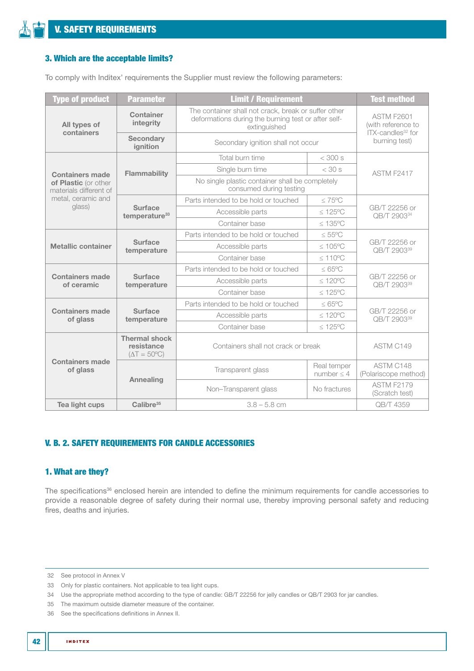#### 3. Which are the acceptable limits?

To comply with Inditex' requirements the Supplier must review the following parameters:

| <b>Type of product</b>                                           | <b>Parameter</b>                            | <b>Limit / Requirement</b>                                                                                                  | <b>Test method</b>             |                                                                          |  |
|------------------------------------------------------------------|---------------------------------------------|-----------------------------------------------------------------------------------------------------------------------------|--------------------------------|--------------------------------------------------------------------------|--|
| All types of                                                     | <b>Container</b><br>integrity               | The container shall not crack, break or suffer other<br>deformations during the burning test or after self-<br>extinguished |                                | <b>ASTM F2601</b><br>(with reference to<br>ITX-candles <sup>32</sup> for |  |
| containers<br><b>Secondary</b><br>ignition                       |                                             | Secondary ignition shall not occur                                                                                          |                                | burning test)                                                            |  |
|                                                                  |                                             | Total burn time                                                                                                             | $<$ 300 s                      |                                                                          |  |
| <b>Containers made</b>                                           | <b>Flammability</b>                         | Single burn time                                                                                                            | $<$ 30 s                       | ASTM F2417                                                               |  |
| of Plastic (or other<br>materials different of                   |                                             | No single plastic container shall be completely<br>consumed during testing                                                  |                                |                                                                          |  |
| metal, ceramic and                                               |                                             | Parts intended to be hold or touched                                                                                        | $\leq 75^{\circ}$ C            |                                                                          |  |
| glass)                                                           | <b>Surface</b><br>temperature <sup>33</sup> | Accessible parts                                                                                                            | $≤ 125$ °C                     | GB/T 22256 or<br>QB/T 2903 <sup>34</sup>                                 |  |
|                                                                  |                                             | Container base                                                                                                              | $\leq$ 135°C                   |                                                                          |  |
|                                                                  | <b>Surface</b><br>temperature               | Parts intended to be hold or touched                                                                                        | $\leq 55^{\circ}$ C            | GB/T 22256 or<br>QB/T 2903 <sup>39</sup>                                 |  |
| Metallic container                                               |                                             | Accessible parts                                                                                                            | $\leq 105^{\circ}$ C           |                                                                          |  |
|                                                                  |                                             | Container base                                                                                                              | $\leq 110^{\circ}$ C           |                                                                          |  |
| <b>Containers made</b>                                           |                                             | Parts intended to be hold or touched                                                                                        | $\leq 65^{\circ}$ C            | GB/T 22256 or<br>QB/T 2903 <sup>39</sup>                                 |  |
| of ceramic                                                       | <b>Surface</b><br>temperature               | Accessible parts                                                                                                            | $< 120^{\circ}$ C              |                                                                          |  |
|                                                                  |                                             | Container base                                                                                                              | $< 125^{\circ}$ C              |                                                                          |  |
|                                                                  |                                             | Parts intended to be hold or touched                                                                                        | $\leq 65^{\circ}$ C            |                                                                          |  |
| <b>Containers made</b><br>of glass                               | <b>Surface</b><br>temperature               | Accessible parts                                                                                                            | $\leq$ 120°C                   | GB/T 22256 or<br>QB/T 2903 <sup>39</sup>                                 |  |
|                                                                  |                                             | Container base                                                                                                              | $< 125^{\circ}$ C              |                                                                          |  |
| <b>Thermal shock</b><br>resistance<br>$(\Delta T = 50^{\circ}C)$ |                                             | Containers shall not crack or break                                                                                         |                                | ASTM C149                                                                |  |
| <b>Containers made</b><br>of glass                               | <b>Annealing</b>                            | Transparent glass                                                                                                           | Real temper<br>number $\leq 4$ | ASTM C148<br>(Polariscope method)                                        |  |
|                                                                  |                                             | Non-Transparent glass                                                                                                       | No fractures                   | <b>ASTM F2179</b><br>(Scratch test)                                      |  |
| Tea light cups                                                   | Calibre <sup>35</sup>                       | $3.8 - 5.8$ cm<br>QB/T 4359                                                                                                 |                                |                                                                          |  |

### V. B. 2. SAFETY REQUIREMENTS FOR CANDLE ACCESSORIES

#### 1. What are they?

The specifications<sup>36</sup> enclosed herein are intended to define the minimum requirements for candle accessories to provide a reasonable degree of safety during their normal use, thereby improving personal safety and reducing fires, deaths and injuries.

35 The maximum outside diameter measure of the container.

<sup>32</sup> See protocol in [Annex V](#page-73-0)

<sup>33</sup> Only for plastic containers. Not applicable to tea light cups.

<sup>34</sup> Use the appropriate method according to the type of candle: GB/T 22256 for jelly candles or QB/T 2903 for jar candles.

<sup>36</sup> See the specifications definitions in [Annex II.](#page-63-0)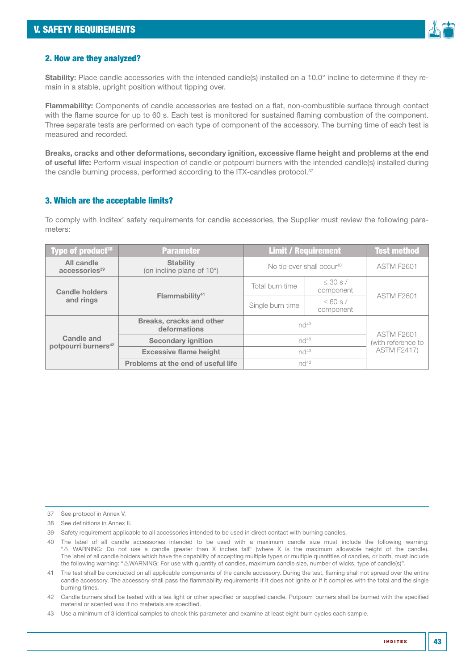

#### 2. How are they analyzed?

Stability: Place candle accessories with the intended candle(s) installed on a 10.0° incline to determine if they remain in a stable, upright position without tipping over.

Flammability: Components of candle accessories are tested on a flat, non-combustible surface through contact with the flame source for up to 60 s. Each test is monitored for sustained flaming combustion of the component. Three separate tests are performed on each type of component of the accessory. The burning time of each test is measured and recorded.

Breaks, cracks and other deformations, secondary ignition, excessive flame height and problems at the end of useful life: Perform visual inspection of candle or potpourri burners with the intended candle(s) installed during the candle burning process, performed according to the ITX-candles protocol.37

#### 3. Which are the acceptable limits?

To comply with Inditex' safety requirements for candle accessories, the Supplier must review the following parameters:

| Type of product <sup>38</sup>                 | <b>Parameter</b>                                      | <b>Limit / Requirement</b>            |                            |                    |  | <b>Test method</b> |
|-----------------------------------------------|-------------------------------------------------------|---------------------------------------|----------------------------|--------------------|--|--------------------|
| All candle<br>accessories <sup>39</sup>       | <b>Stability</b><br>(on incline plane of 10°)         | No tip over shall occur <sup>40</sup> |                            | <b>ASTM F2601</b>  |  |                    |
| <b>Candle holders</b>                         | Flammability <sup>41</sup>                            | Total burn time                       | $\leq 30$ s/<br>component  | <b>ASTM F2601</b>  |  |                    |
| and rings                                     |                                                       | Single burn time                      | $\leq 60$ s /<br>component |                    |  |                    |
|                                               | Breaks, cracks and other<br>$nd^{43}$<br>deformations |                                       | <b>ASTM F2601</b>          |                    |  |                    |
| Candle and<br>potpourri burners <sup>42</sup> | <b>Secondary ignition</b>                             | $nd^{43}$                             |                            | (with reference to |  |                    |
|                                               | <b>Excessive flame height</b>                         | $nd^{43}$                             |                            | <b>ASTM F2417)</b> |  |                    |
|                                               | Problems at the end of useful life                    | nd <sup>43</sup>                      |                            |                    |  |                    |

37 See protocol in [Annex V](#page-73-0).

38 See definitions in [Annex II](#page-63-0).

39 Safety requirement applicable to all accessories intended to be used in direct contact with burning candles.

- 40 The label of all candle accessories intended to be used with a maximum candle size must include the following warning: " $\Delta$  WARNING: Do not use a candle greater than X inches tall" (where X is the maximum allowable height of the candle). The label of all candle holders which have the capability of accepting multiple types or multiple quantities of candles, or both, must include the following warning: "AWARNING: For use with quantity of candles, maximum candle size, number of wicks, type of candle(s)"
- 41 The test shall be conducted on all applicable components of the candle accessory. During the test, flaming shall not spread over the entire candle accessory. The accessory shall pass the flammability requirements if it does not ignite or if it complies with the total and the single burning times.
- 42 Candle burners shall be tested with a tea light or other specified or supplied candle. Potpourri burners shall be burned with the specified material or scented wax if no materials are specified.

<sup>43</sup> Use a minimum of 3 identical samples to check this parameter and examine at least eight burn cycles each sample.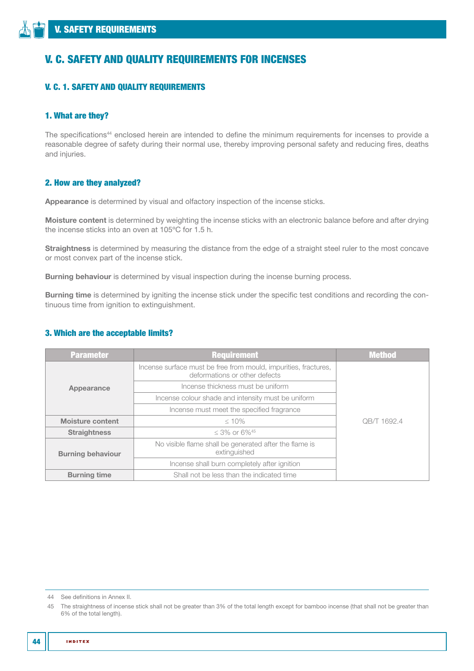## V. C. SAFETY AND QUALITY REQUIREMENTS FOR INCENSES

#### V. C. 1. SAFETY AND QUALITY REQUIREMENTS

#### 1. What are they?

The specifications<sup>44</sup> enclosed herein are intended to define the minimum requirements for incenses to provide a reasonable degree of safety during their normal use, thereby improving personal safety and reducing fires, deaths and injuries.

#### 2. How are they analyzed?

Appearance is determined by visual and olfactory inspection of the incense sticks.

Moisture content is determined by weighting the incense sticks with an electronic balance before and after drying the incense sticks into an oven at 105ºC for 1.5 h.

Straightness is determined by measuring the distance from the edge of a straight steel ruler to the most concave or most convex part of the incense stick.

Burning behaviour is determined by visual inspection during the incense burning process.

Burning time is determined by igniting the incense stick under the specific test conditions and recording the continuous time from ignition to extinguishment.

#### 3. Which are the acceptable limits?

| <b>Parameter</b>         | <b>Requirement</b>                                                                               | <b>Method</b> |
|--------------------------|--------------------------------------------------------------------------------------------------|---------------|
|                          | Incense surface must be free from mould, impurities, fractures,<br>deformations or other defects |               |
| Appearance               | Incense thickness must be uniform                                                                |               |
|                          | Incense colour shade and intensity must be uniform                                               |               |
|                          | Incense must meet the specified fragrance                                                        |               |
| <b>Moisture content</b>  | $\leq 10\%$                                                                                      | QB/T 1692.4   |
| <b>Straightness</b>      | $\leq 3\%$ or 6% <sup>45</sup>                                                                   |               |
| <b>Burning behaviour</b> | No visible flame shall be generated after the flame is<br>extinguished                           |               |
|                          | Incense shall burn completely after ignition                                                     |               |
| <b>Burning time</b>      | Shall not be less than the indicated time                                                        |               |

<sup>44</sup> See definitions in [Annex II](#page-63-0).

<sup>45</sup> The straightness of incense stick shall not be greater than 3% of the total length except for bamboo incense (that shall not be greater than 6% of the total length).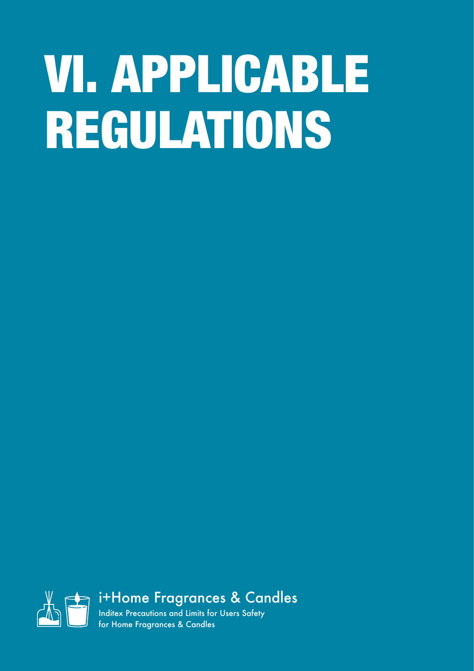# <span id="page-44-0"></span>VI. APPLICABLE REGULATIONS

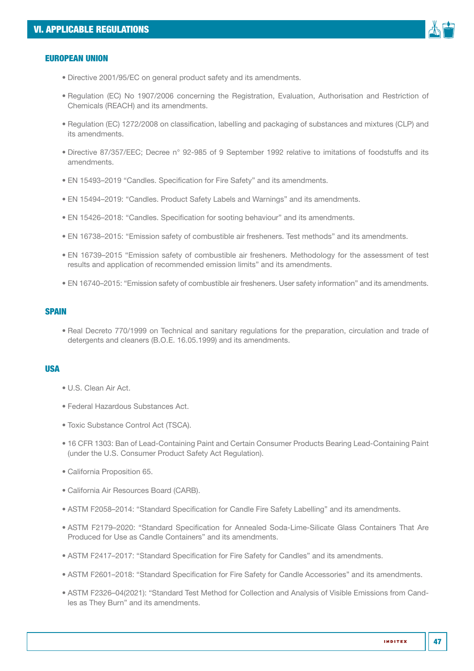

#### EUROPEAN UNION

- Directive 2001/95/EC on general product safety and its amendments.
- Regulation (EC) No 1907/2006 concerning the Registration, Evaluation, Authorisation and Restriction of Chemicals (REACH) and its amendments.
- Regulation (EC) 1272/2008 on classification, labelling and packaging of substances and mixtures (CLP) and its amendments.
- Directive 87/357/EEC; Decree n° 92-985 of 9 September 1992 relative to imitations of foodstuffs and its amendments.
- EN 15493–2019 "Candles. Specification for Fire Safety" and its amendments.
- EN 15494–2019: "Candles. Product Safety Labels and Warnings" and its amendments.
- EN 15426–2018: "Candles. Specification for sooting behaviour" and its amendments.
- EN 16738–2015: "Emission safety of combustible air fresheners. Test methods" and its amendments.
- EN 16739–2015 "Emission safety of combustible air fresheners. Methodology for the assessment of test results and application of recommended emission limits" and its amendments.
- EN 16740–2015: "Emission safety of combustible air fresheners. User safety information" and its amendments.

#### **SPAIN**

• Real Decreto 770/1999 on Technical and sanitary regulations for the preparation, circulation and trade of detergents and cleaners (B.O.E. 16.05.1999) and its amendments.

#### USA

- U.S. Clean Air Act.
- Federal Hazardous Substances Act.
- Toxic Substance Control Act (TSCA).
- 16 CFR 1303: Ban of Lead-Containing Paint and Certain Consumer Products Bearing Lead-Containing Paint (under the U.S. Consumer Product Safety Act Regulation).
- California Proposition 65.
- California Air Resources Board (CARB).
- ASTM F2058–2014: "Standard Specification for Candle Fire Safety Labelling" and its amendments.
- ASTM F2179–2020: "Standard Specification for Annealed Soda-Lime-Silicate Glass Containers That Are Produced for Use as Candle Containers" and its amendments.
- ASTM F2417–2017: "Standard Specification for Fire Safety for Candles" and its amendments.
- ASTM F2601–2018: "Standard Specification for Fire Safety for Candle Accessories" and its amendments.
- ASTM F2326–04(2021): "Standard Test Method for Collection and Analysis of Visible Emissions from Candles as They Burn" and its amendments.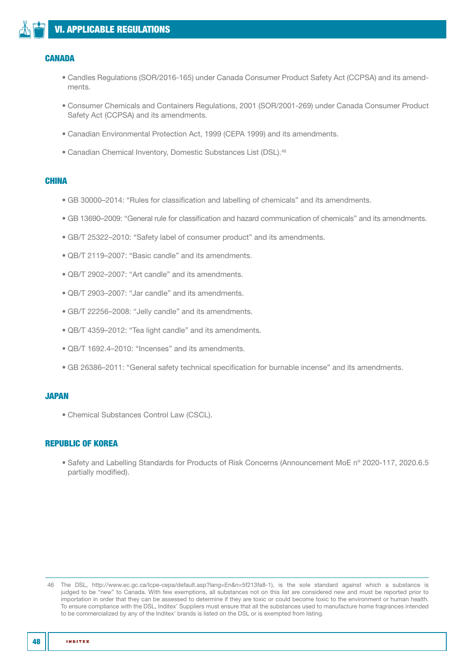#### **CANADA**

- Candles Regulations (SOR/2016-165) under Canada Consumer Product Safety Act (CCPSA) and its amendments.
- Consumer Chemicals and Containers Regulations, 2001 (SOR/2001-269) under Canada Consumer Product Safety Act (CCPSA) and its amendments.
- Canadian Environmental Protection Act, 1999 (CEPA 1999) and its amendments.
- Canadian Chemical Inventory, Domestic Substances List (DSL).46

#### **CHINA**

- GB 30000–2014: "Rules for classification and labelling of chemicals" and its amendments.
- GB 13690–2009: "General rule for classification and hazard communication of chemicals" and its amendments.
- GB/T 25322–2010: "Safety label of consumer product" and its amendments.
- QB/T 2119–2007: "Basic candle" and its amendments.
- QB/T 2902–2007: "Art candle" and its amendments.
- QB/T 2903–2007: "Jar candle" and its amendments.
- GB/T 22256–2008: "Jelly candle" and its amendments.
- QB/T 4359–2012: "Tea light candle" and its amendments.
- QB/T 1692.4–2010: "Incenses" and its amendments.
- GB 26386–2011: "General safety technical specification for burnable incense" and its amendments.

#### JAPAN

• Chemical Substances Control Law (CSCL).

#### REPUBLIC OF KOREA

• Safety and Labelling Standards for Products of Risk Concerns (Announcement MoE nº 2020-117, 2020.6.5 partially modified).

<sup>46</sup> The DSL, [http://www.ec.gc.ca/lcpe-cepa/default.asp?lang=En&n=5f213fa8-1\)](http://www.ec.gc.ca/lcpe-cepa/default.asp?lang=En&n=5f213fa8-1), is the sole standard against which a substance is judged to be "new" to Canada. With few exemptions, all substances not on this list are considered new and must be reported prior to importation in order that they can be assessed to determine if they are toxic or could become toxic to the environment or human health. To ensure compliance with the DSL, Inditex' Suppliers must ensure that all the substances used to manufacture home fragrances intended to be commercialized by any of the Inditex' brands is listed on the DSL or is exempted from listing.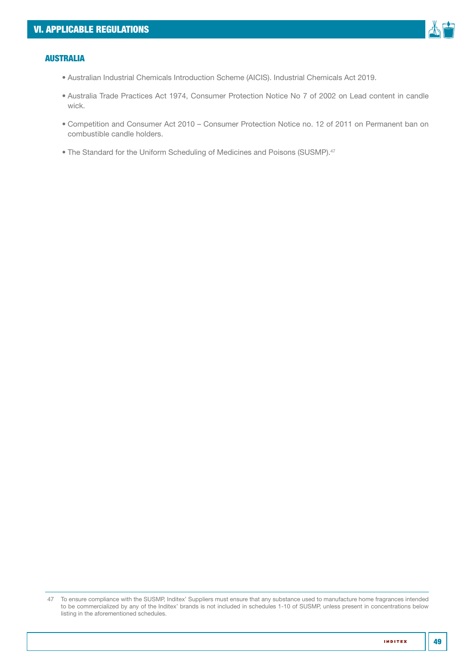

#### AUSTRALIA

- Australian Industrial Chemicals Introduction Scheme (AICIS). Industrial Chemicals Act 2019.
- Australia Trade Practices Act 1974, Consumer Protection Notice No 7 of 2002 on Lead content in candle wick.
- Competition and Consumer Act 2010 Consumer Protection Notice no. 12 of 2011 on Permanent ban on combustible candle holders.
- The Standard for the Uniform Scheduling of Medicines and Poisons (SUSMP).<sup>47</sup>

<sup>47</sup> To ensure compliance with the SUSMP, Inditex' Suppliers must ensure that any substance used to manufacture home fragrances intended to be commercialized by any of the Inditex' brands is not included in schedules 1-10 of SUSMP, unless present in concentrations below listing in the aforementioned schedules.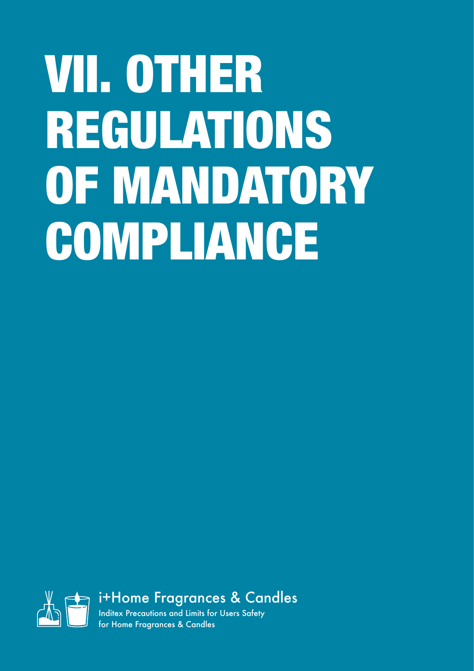## <span id="page-50-0"></span>VII. OTHER REGULATIONS OF MANDATORY COMPLIANCE



i+Home Fragrances & Candles

Inditex Precautions and Limits for Users Safety for Home Fragrances & Candles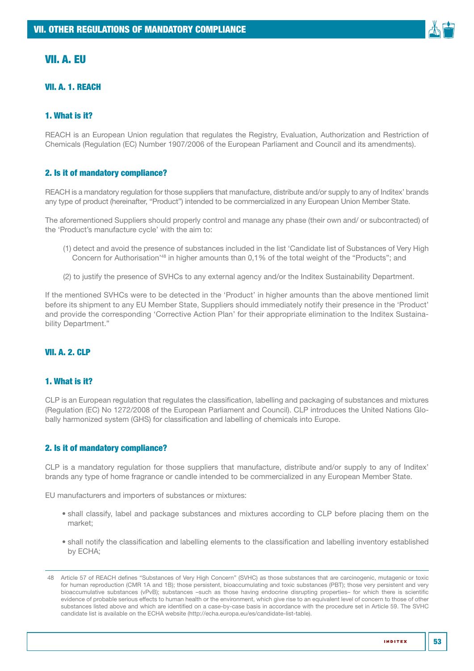### VII. A. EU

#### VII. A. 1. REACH

#### 1. What is it?

REACH is an European Union regulation that regulates the Registry, Evaluation, Authorization and Restriction of Chemicals (Regulation (EC) Number 1907/2006 of the European Parliament and Council and its amendments).

#### 2. Is it of mandatory compliance?

REACH is a mandatory regulation for those suppliers that manufacture, distribute and/or supply to any of Inditex' brands any type of product (hereinafter, "Product") intended to be commercialized in any European Union Member State.

The aforementioned Suppliers should properly control and manage any phase (their own and/ or subcontracted) of the 'Product's manufacture cycle' with the aim to:

- (1) detect and avoid the presence of substances included in the list 'Candidate list of Substances of Very High Concern for Authorisation'48 in higher amounts than 0,1% of the total weight of the "Products"; and
- (2) to justify the presence of SVHCs to any external agency and/or the Inditex Sustainability Department.

If the mentioned SVHCs were to be detected in the 'Product' in higher amounts than the above mentioned limit before its shipment to any EU Member State, Suppliers should immediately notify their presence in the 'Product' and provide the corresponding 'Corrective Action Plan' for their appropriate elimination to the Inditex Sustainability Department."

#### VII. A. 2. CLP

#### 1. What is it?

CLP is an European regulation that regulates the classification, labelling and packaging of substances and mixtures (Regulation (EC) No 1272/2008 of the European Parliament and Council). CLP introduces the United Nations Globally harmonized system (GHS) for classification and labelling of chemicals into Europe.

#### 2. Is it of mandatory compliance?

CLP is a mandatory regulation for those suppliers that manufacture, distribute and/or supply to any of Inditex' brands any type of home fragrance or candle intended to be commercialized in any European Member State.

EU manufacturers and importers of substances or mixtures:

- shall classify, label and package substances and mixtures according to CLP before placing them on the market;
- shall notify the classification and labelling elements to the classification and labelling inventory established by ECHA;

53

<sup>48</sup> Article 57 of REACH defines "Substances of Very High Concern" (SVHC) as those substances that are carcinogenic, mutagenic or toxic for human reproduction (CMR 1A and 1B); those persistent, bioaccumulating and toxic substances (PBT); those very persistent and very bioaccumulative substances (vPvB); substances –such as those having endocrine disrupting properties– for which there is scientific evidence of probable serious effects to human health or the environment, which give rise to an equivalent level of concern to those of other substances listed above and which are identified on a case-by-case basis in accordance with the procedure set in Article 59. The SVHC candidate list is available on the ECHA website ([http://echa.europa.eu/es/candidate-list-table\)](http://echa.europa.eu/es/candidate-list-table).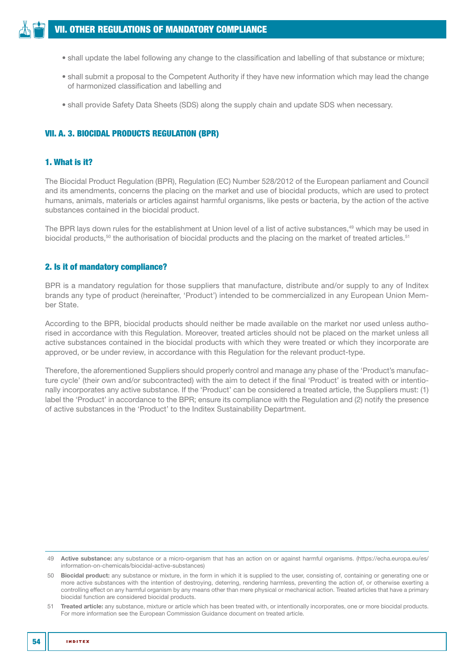

- shall update the label following any change to the classification and labelling of that substance or mixture;
- shall submit a proposal to the Competent Authority if they have new information which may lead the change of harmonized classification and labelling and
- shall provide Safety Data Sheets (SDS) along the supply chain and update SDS when necessary.

#### VII. A. 3. BIOCIDAL PRODUCTS REGULATION (BPR)

#### 1. What is it?

The Biocidal Product Regulation (BPR), Regulation (EC) Number 528/2012 of the European parliament and Council and its amendments, concerns the placing on the market and use of biocidal products, which are used to protect humans, animals, materials or articles against harmful organisms, like pests or bacteria, by the action of the active substances contained in the biocidal product.

The BPR lays down rules for the establishment at Union level of a list of active substances,<sup>49</sup> which may be used in biocidal products,<sup>50</sup> the authorisation of biocidal products and the placing on the market of treated articles.<sup>51</sup>

#### 2. Is it of mandatory compliance?

BPR is a mandatory regulation for those suppliers that manufacture, distribute and/or supply to any of Inditex brands any type of product (hereinafter, 'Product') intended to be commercialized in any European Union Member State.

According to the BPR, biocidal products should neither be made available on the market nor used unless authorised in accordance with this Regulation. Moreover, treated articles should not be placed on the market unless all active substances contained in the biocidal products with which they were treated or which they incorporate are approved, or be under review, in accordance with this Regulation for the relevant product-type.

Therefore, the aforementioned Suppliers should properly control and manage any phase of the 'Product's manufacture cycle' (their own and/or subcontracted) with the aim to detect if the final 'Product' is treated with or intentionally incorporates any active substance. If the 'Product' can be considered a treated article, the Suppliers must: (1) label the 'Product' in accordance to the BPR; ensure its compliance with the Regulation and (2) notify the presence of active substances in the 'Product' to the Inditex Sustainability Department.

49 Active substance: any substance or a micro-organism that has an action on or against harmful organisms. ([https://echa.europa.eu/es/](https://echa.europa.eu/es/information-on-chemicals/biocidal-active-substances) [information-on-chemicals/biocidal-active-substances](https://echa.europa.eu/es/information-on-chemicals/biocidal-active-substances))

<sup>50</sup> Biocidal product: any substance or mixture, in the form in which it is supplied to the user, consisting of, containing or generating one or more active substances with the intention of destroying, deterring, rendering harmless, preventing the action of, or otherwise exerting a controlling effect on any harmful organism by any means other than mere physical or mechanical action. Treated articles that have a primary biocidal function are considered biocidal products.

<sup>51</sup> Treated article: any substance, mixture or article which has been treated with, or intentionally incorporates, one or more biocidal products. For more information see the European Commission Guidance document on treated article.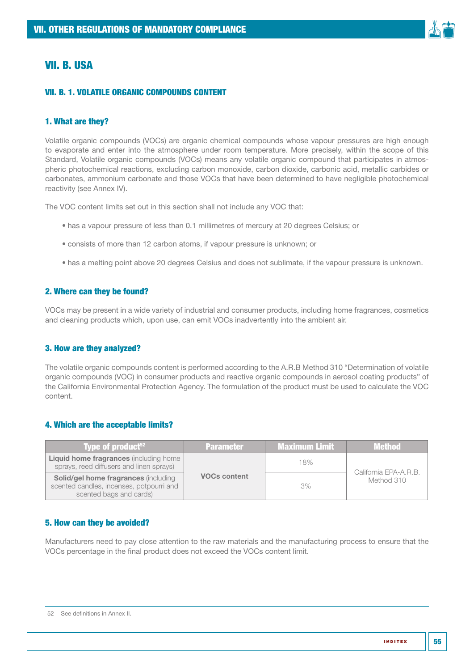## VII. B. USA

#### VII. B. 1. VOLATILE ORGANIC COMPOUNDS CONTENT

#### 1. What are they?

Volatile organic compounds (VOCs) are organic chemical compounds whose vapour pressures are high enough to evaporate and enter into the atmosphere under room temperature. More precisely, within the scope of this Standard, Volatile organic compounds (VOCs) means any volatile organic compound that participates in atmospheric photochemical reactions, excluding carbon monoxide, carbon dioxide, carbonic acid, metallic carbides or carbonates, ammonium carbonate and those VOCs that have been determined to have negligible photochemical reactivity (see [Annex IV](#page-71-0)).

The VOC content limits set out in this section shall not include any VOC that:

- has a vapour pressure of less than 0.1 millimetres of mercury at 20 degrees Celsius; or
- consists of more than 12 carbon atoms, if vapour pressure is unknown; or
- has a melting point above 20 degrees Celsius and does not sublimate, if the vapour pressure is unknown.

#### 2. Where can they be found?

VOCs may be present in a wide variety of industrial and consumer products, including home fragrances, cosmetics and cleaning products which, upon use, can emit VOCs inadvertently into the ambient air.

#### 3. How are they analyzed?

The volatile organic compounds content is performed according to the A.R.B Method 310 "Determination of volatile organic compounds (VOC) in consumer products and reactive organic compounds in aerosol coating products" of the California Environmental Protection Agency. The formulation of the product must be used to calculate the VOC content.

#### 4. Which are the acceptable limits?

| Type of product <sup>52</sup>                                                                                                             | <b>Parameter</b> | : Maximum Limit` | <b>Method</b>         |
|-------------------------------------------------------------------------------------------------------------------------------------------|------------------|------------------|-----------------------|
| <b>Liquid home fragrances (including home</b><br>sprays, reed diffusers and linen sprays)                                                 |                  | 18%              | California EPA-A.R.B. |
| <b>VOCs content</b><br><b>Solid/gel home fragrances (including</b><br>scented candles, incenses, potpourri and<br>scented bags and cards) |                  | 3%               | Method 310            |

#### 5. How can they be avoided?

Manufacturers need to pay close attention to the raw materials and the manufacturing process to ensure that the VOCs percentage in the final product does not exceed the VOCs content limit.

<sup>52</sup> See definitions in [Annex II](#page-63-0).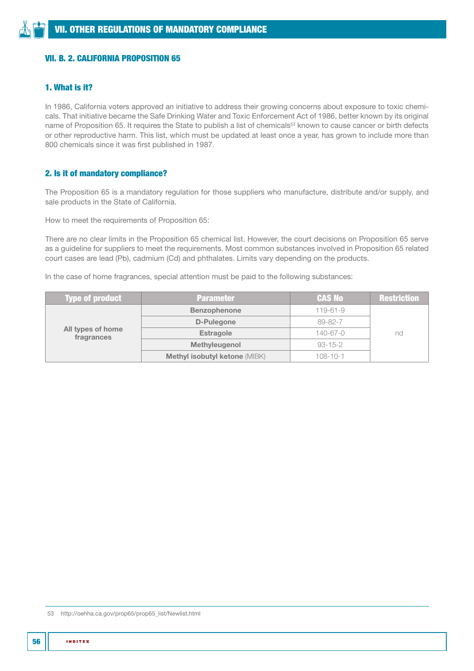

#### VII. B. 2. CALIFORNIA PROPOSITION 65

#### 1. What is it?

In 1986, California voters approved an initiative to address their growing concerns about exposure to toxic chemicals. That initiative became the Safe Drinking Water and Toxic Enforcement Act of 1986, better known by its original name of Proposition 65. It requires the State to publish a list of chemicals<sup>53</sup> known to cause cancer or birth defects or other reproductive harm. This list, which must be updated at least once a year, has grown to include more than 800 chemicals since it was first published in 1987.

#### 2. Is it of mandatory compliance?

The Proposition 65 is a mandatory regulation for those suppliers who manufacture, distribute and/or supply, and sale products in the State of California.

How to meet the requirements of Proposition 65:

There are no clear limits in the Proposition 65 chemical list. However, the court decisions on Proposition 65 serve as a guideline for suppliers to meet the requirements. Most common substances involved in Proposition 65 related court cases are lead (Pb), cadmium (Cd) and phthalates. Limits vary depending on the products.

In the case of home fragrances, special attention must be paid to the following substances:

| <b>Type of product</b>          | <b>Parameter</b>              | <b>CAS No</b>  | <b>Restriction</b> |  |
|---------------------------------|-------------------------------|----------------|--------------------|--|
| All types of home<br>fragrances | <b>Benzophenone</b>           | 119-61-9       |                    |  |
|                                 | D-Pulegone                    | 89-82-7        |                    |  |
|                                 | <b>Estragole</b>              | 140-67-0       | nd                 |  |
|                                 | Methyleugenol                 | $93 - 15 - 2$  |                    |  |
|                                 | Methyl isobutyl ketone (MIBK) | $108 - 10 - 1$ |                    |  |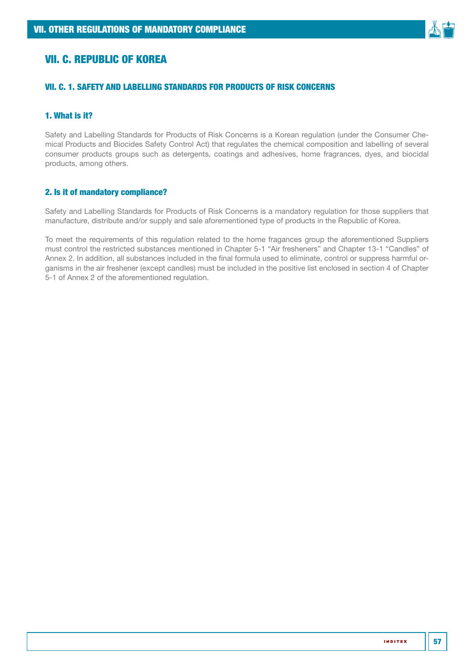

## VII. C. REPUBLIC OF KOREA

#### VII. C. 1. SAFETY AND LABELLING STANDARDS FOR PRODUCTS OF RISK CONCERNS

#### 1. What is it?

Safety and Labelling Standards for Products of Risk Concerns is a Korean regulation (under the Consumer Chemical Products and Biocides Safety Control Act) that regulates the chemical composition and labelling of several consumer products groups such as detergents, coatings and adhesives, home fragrances, dyes, and biocidal products, among others.

#### 2. Is it of mandatory compliance?

Safety and Labelling Standards for Products of Risk Concerns is a mandatory regulation for those suppliers that manufacture, distribute and/or supply and sale aforementioned type of products in the Republic of Korea.

To meet the requirements of this regulation related to the home fragances group the aforementioned Suppliers must control the restricted substances mentioned in Chapter 5-1 "Air fresheners" and Chapter 13-1 "Candles" of Annex 2. In addition, all substances included in the final formula used to eliminate, control or suppress harmful organisms in the air freshener (except candles) must be included in the positive list enclosed in section 4 of Chapter 5-1 of Annex 2 of the aforementioned regulation.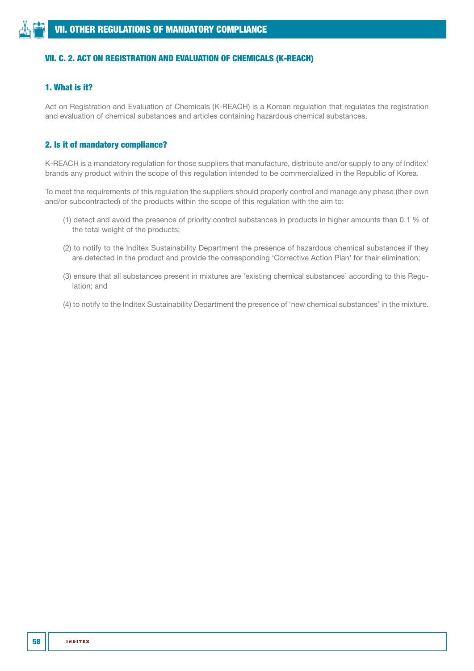#### VII. C. 2. ACT ON REGISTRATION AND EVALUATION OF CHEMICALS (K-REACH)

#### 1. What is it?

Act on Registration and Evaluation of Chemicals (K-REACH) is a Korean regulation that regulates the registration and evaluation of chemical substances and articles containing hazardous chemical substances.

#### 2. Is it of mandatory compliance?

K-REACH is a mandatory regulation for those suppliers that manufacture, distribute and/or supply to any of Inditex' brands any product within the scope of this regulation intended to be commercialized in the Republic of Korea.

To meet the requirements of this regulation the suppliers should properly control and manage any phase (their own and/or subcontracted) of the products within the scope of this regulation with the aim to:

- (1) detect and avoid the presence of priority control substances in products in higher amounts than 0.1 % of the total weight of the products;
- (2) to notify to the Inditex Sustainability Department the presence of hazardous chemical substances if they are detected in the product and provide the corresponding 'Corrective Action Plan' for their elimination;
- (3) ensure that all substances present in mixtures are 'existing chemical substances' according to this Regulation; and
- (4) to notify to the Inditex Sustainability Department the presence of 'new chemical substances' in the mixture.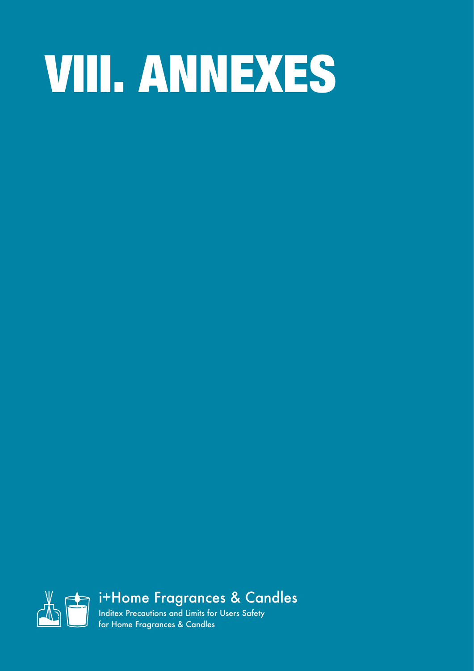# <span id="page-58-0"></span>VIII. ANNEXES



i+Home Fragrances & Candles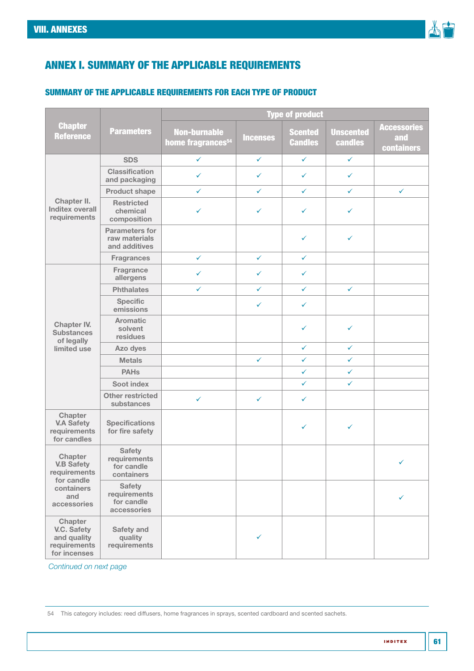

## ANNEX I. SUMMARY OF THE APPLICABLE REQUIREMENTS

#### SUMMARY OF THE APPLICABLE REQUIREMENTS FOR EACH TYPE OF PRODUCT

|                                                                       |                                                            | <b>Type of product</b>                               |                 |                                  |                                    |                                         |
|-----------------------------------------------------------------------|------------------------------------------------------------|------------------------------------------------------|-----------------|----------------------------------|------------------------------------|-----------------------------------------|
| <b>Chapter</b><br><b>Parameters</b><br><b>Reference</b>               |                                                            | <b>Non-burnable</b><br>home fragrances <sup>54</sup> | <b>Incenses</b> | <b>Scented</b><br><b>Candles</b> | <b>Unscented</b><br><b>candles</b> | <b>Accessories</b><br>and<br>containers |
|                                                                       | <b>SDS</b>                                                 | ✓                                                    | $\checkmark$    | ✓                                | ✓                                  |                                         |
|                                                                       | <b>Classification</b><br>and packaging                     | ✓                                                    | ✓               | $\checkmark$                     | $\checkmark$                       |                                         |
|                                                                       | <b>Product shape</b>                                       | $\checkmark$                                         | $\checkmark$    | ✓                                | $\checkmark$                       | $\checkmark$                            |
| Chapter II.<br>Inditex overall<br>requirements                        | <b>Restricted</b><br>chemical<br>composition               | $\checkmark$                                         | ✓               | ✓                                | $\checkmark$                       |                                         |
|                                                                       | <b>Parameters for</b><br>raw materials<br>and additives    |                                                      |                 | $\checkmark$                     | ✓                                  |                                         |
|                                                                       | <b>Fragrances</b>                                          | $\checkmark$                                         | $\checkmark$    | ✓                                |                                    |                                         |
|                                                                       | Fragrance<br>allergens                                     | ✓                                                    | ✓               | ✓                                |                                    |                                         |
|                                                                       | <b>Phthalates</b>                                          | ✓                                                    | ✓               | ✓                                | $\checkmark$                       |                                         |
|                                                                       | <b>Specific</b><br>emissions                               |                                                      | ✓               | ✓                                |                                    |                                         |
| Chapter IV.<br><b>Substances</b><br>of legally                        | <b>Aromatic</b><br>solvent<br>residues                     |                                                      |                 | ✓                                | $\checkmark$                       |                                         |
| limited use                                                           | Azo dyes                                                   |                                                      |                 | $\checkmark$                     | $\checkmark$                       |                                         |
|                                                                       | <b>Metals</b>                                              |                                                      | ✓               | ✓                                | ✓                                  |                                         |
|                                                                       | <b>PAHs</b>                                                |                                                      |                 | ✓                                | ✓                                  |                                         |
|                                                                       | Soot index                                                 |                                                      |                 | ✓                                | ✓                                  |                                         |
|                                                                       | <b>Other restricted</b><br>substances                      | ✓                                                    | ✓               | ✓                                |                                    |                                         |
| Chapter<br><b>V.A Safety</b><br>requirements<br>for candles           | <b>Specifications</b><br>for fire safety                   |                                                      |                 | $\checkmark$                     | $\checkmark$                       |                                         |
| Chapter<br><b>V.B Safety</b><br>requirements<br>for candle            | <b>Safety</b><br>requirements<br>for candle<br>containers  |                                                      |                 |                                  |                                    | ✓                                       |
| containers<br>and<br>accessories                                      | <b>Safety</b><br>requirements<br>for candle<br>accessories |                                                      |                 |                                  |                                    | ✓                                       |
| Chapter<br>V.C. Safety<br>and quality<br>requirements<br>for incenses | Safety and<br>quality<br>requirements                      |                                                      | ✓               |                                  |                                    |                                         |

*Continued on next page*

<sup>54</sup> This category includes: reed diffusers, home fragrances in sprays, scented cardboard and scented sachets.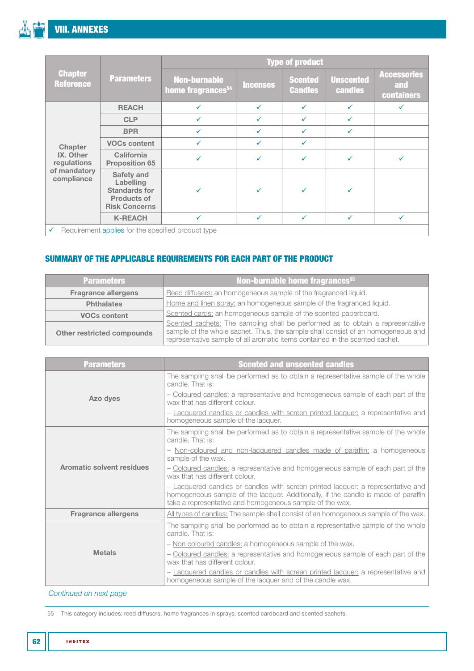$\mathbb{R}^4$ 

|                                                                    |                                                                                               | <b>Type of product</b>                               |                 |                                  |                             |                                                |  |
|--------------------------------------------------------------------|-----------------------------------------------------------------------------------------------|------------------------------------------------------|-----------------|----------------------------------|-----------------------------|------------------------------------------------|--|
| <b>Chapter</b><br><b>Reference</b>                                 | <b>Parameters</b>                                                                             | <b>Non-burnable</b><br>home fragrances <sup>54</sup> | <b>Incenses</b> | <b>Scented</b><br><b>Candles</b> | <b>Unscented</b><br>candles | <b>Accessories</b><br>and<br><b>containers</b> |  |
|                                                                    | <b>REACH</b>                                                                                  |                                                      |                 | $\checkmark$                     | $\checkmark$                | ✓                                              |  |
|                                                                    | <b>CLP</b>                                                                                    |                                                      |                 | $\checkmark$                     | ✓                           |                                                |  |
|                                                                    | <b>BPR</b>                                                                                    |                                                      |                 | $\checkmark$                     | $\checkmark$                |                                                |  |
| <b>Chapter</b>                                                     | <b>VOCs content</b>                                                                           | ✓                                                    | $\checkmark$    | $\checkmark$                     |                             |                                                |  |
| IX. Other<br>regulations                                           | California<br><b>Proposition 65</b>                                                           |                                                      |                 | $\checkmark$                     | ✓                           | $\checkmark$                                   |  |
| of mandatory<br>compliance                                         | Safety and<br>Labelling<br><b>Standards for</b><br><b>Products of</b><br><b>Risk Concerns</b> |                                                      |                 | ✓                                |                             |                                                |  |
|                                                                    | <b>K-REACH</b>                                                                                | $\checkmark$                                         | $\checkmark$    | $\checkmark$                     | $\checkmark$                | $\checkmark$                                   |  |
| $\checkmark$<br>Requirement applies for the specified product type |                                                                                               |                                                      |                 |                                  |                             |                                                |  |

### SUMMARY OF THE APPLICABLE REQUIREMENTS FOR EACH PART OF THE PRODUCT

| <b>Parameters</b>                 | Non-burnable home fragrances <sup>55</sup>                                                                                                                                                                                                         |
|-----------------------------------|----------------------------------------------------------------------------------------------------------------------------------------------------------------------------------------------------------------------------------------------------|
| <b>Fragrance allergens</b>        | Reed diffusers: an homogeneous sample of the fragranced liquid.                                                                                                                                                                                    |
| <b>Phthalates</b>                 | Home and linen spray: an homogeneous sample of the fragranced liquid.                                                                                                                                                                              |
| <b>VOCs content</b>               | Scented cards: an homogeneous sample of the scented paperboard.                                                                                                                                                                                    |
| <b>Other restricted compounds</b> | Scented sachets: The sampling shall be performed as to obtain a representative<br>sample of the whole sachet. Thus, the sample shall consist of an homogeneous and<br>representative sample of all aromatic items contained in the scented sachet. |

| <b>Parameters</b>          | <b>Scented and unscented candles</b>                                                                                                                                                                                               |
|----------------------------|------------------------------------------------------------------------------------------------------------------------------------------------------------------------------------------------------------------------------------|
| Azo dyes                   | The sampling shall be performed as to obtain a representative sample of the whole<br>candle. That is:                                                                                                                              |
|                            | - Coloured candles: a representative and homogeneous sample of each part of the<br>wax that has different colour.                                                                                                                  |
|                            | - Lacquered candles or candles with screen printed lacquer: a representative and<br>homogeneous sample of the lacquer.                                                                                                             |
|                            | The sampling shall be performed as to obtain a representative sample of the whole<br>candle. That is:                                                                                                                              |
|                            | - Non-coloured and non-lacquered candles made of paraffin: a homogeneous<br>sample of the wax.                                                                                                                                     |
| Aromatic solvent residues  | - Coloured candles: a representative and homogeneous sample of each part of the<br>wax that has different colour.                                                                                                                  |
|                            | - Lacquered candles or candles with screen printed lacquer: a representative and<br>homogeneous sample of the lacquer. Additionally, if the candle is made of paraffin<br>take a representative and homogeneous sample of the wax. |
| <b>Fragrance allergens</b> | All types of candles: The sample shall consist of an homogeneous sample of the wax.                                                                                                                                                |
|                            | The sampling shall be performed as to obtain a representative sample of the whole<br>candle. That is:                                                                                                                              |
|                            | - Non coloured candles: a homogeneous sample of the wax.                                                                                                                                                                           |
| <b>Metals</b>              | - Coloured candles: a representative and homogeneous sample of each part of the<br>wax that has different colour.                                                                                                                  |
|                            | - Lacquered candles or candles with screen printed lacquer: a representative and<br>homogeneous sample of the lacquer and of the candle wax.                                                                                       |

*Continued on next page*

55 This category includes: reed diffusers, home fragrances in sprays, scented cardboard and scented sachets.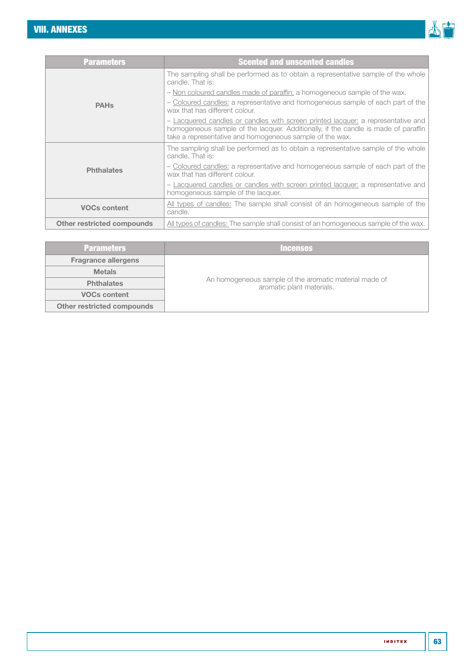

| <b>Parameters</b>                 | <b>Scented and unscented candles</b>                                                                                                                                                                                               |
|-----------------------------------|------------------------------------------------------------------------------------------------------------------------------------------------------------------------------------------------------------------------------------|
|                                   | The sampling shall be performed as to obtain a representative sample of the whole<br>candle. That is:                                                                                                                              |
|                                   | - Non coloured candles made of paraffin: a homogeneous sample of the wax.                                                                                                                                                          |
| <b>PAH<sub>s</sub></b>            | - Coloured candles: a representative and homogeneous sample of each part of the<br>wax that has different colour.                                                                                                                  |
|                                   | - Lacquered candles or candles with screen printed lacquer: a representative and<br>homogeneous sample of the lacquer. Additionally, if the candle is made of paraffin<br>take a representative and homogeneous sample of the wax. |
| <b>Phthalates</b>                 | The sampling shall be performed as to obtain a representative sample of the whole<br>candle. That is:                                                                                                                              |
|                                   | - Coloured candles: a representative and homogeneous sample of each part of the<br>wax that has different colour.                                                                                                                  |
|                                   | - Lacquered candles or candles with screen printed lacquer: a representative and<br>homogeneous sample of the lacquer.                                                                                                             |
| <b>VOCs content</b>               | All types of candles: The sample shall consist of an homogeneous sample of the<br>candle.                                                                                                                                          |
| <b>Other restricted compounds</b> | All types of candles: The sample shall consist of an homogeneous sample of the wax.                                                                                                                                                |

| Parameters                 | <b>Incenses</b>                                                                     |
|----------------------------|-------------------------------------------------------------------------------------|
| <b>Fragrance allergens</b> |                                                                                     |
| <b>Metals</b>              |                                                                                     |
| <b>Phthalates</b>          | An homogeneous sample of the aromatic material made of<br>aromatic plant materials. |
| <b>VOCs content</b>        |                                                                                     |
| Other restricted compounds |                                                                                     |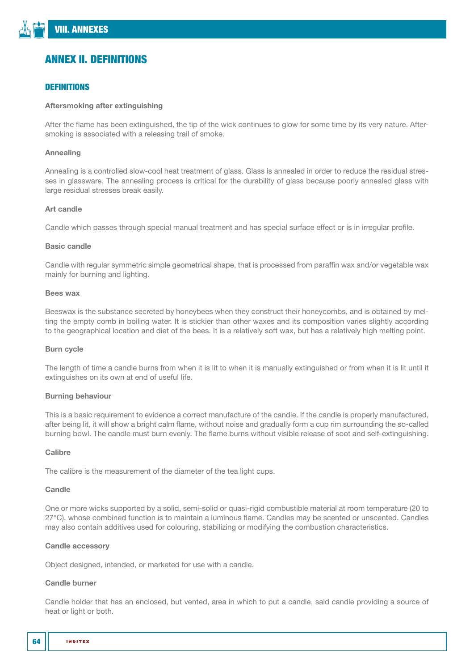

## <span id="page-63-0"></span>ANNEX II. DEFINITIONS

#### **DEFINITIONS**

#### Aftersmoking after extinguishing

After the flame has been extinguished, the tip of the wick continues to glow for some time by its very nature. Aftersmoking is associated with a releasing trail of smoke.

#### Annealing

Annealing is a controlled slow-cool heat treatment of glass. Glass is annealed in order to reduce the residual stresses in glassware. The annealing process is critical for the durability of glass because poorly annealed glass with large residual stresses break easily.

#### Art candle

Candle which passes through special manual treatment and has special surface effect or is in irregular profile.

#### Basic candle

Candle with regular symmetric simple geometrical shape, that is processed from paraffin wax and/or vegetable wax mainly for burning and lighting.

#### Bees wax

Beeswax is the substance secreted by honeybees when they construct their honeycombs, and is obtained by melting the empty comb in boiling water. It is stickier than other waxes and its composition varies slightly according to the geographical location and diet of the bees. It is a relatively soft wax, but has a relatively high melting point.

#### Burn cycle

The length of time a candle burns from when it is lit to when it is manually extinguished or from when it is lit until it extinguishes on its own at end of useful life.

#### Burning behaviour

This is a basic requirement to evidence a correct manufacture of the candle. If the candle is properly manufactured, after being lit, it will show a bright calm flame, without noise and gradually form a cup rim surrounding the so-called burning bowl. The candle must burn evenly. The flame burns without visible release of soot and self-extinguishing.

#### **Calibre**

The calibre is the measurement of the diameter of the tea light cups.

#### **Candle**

One or more wicks supported by a solid, semi-solid or quasi-rigid combustible material at room temperature (20 to 27°C), whose combined function is to maintain a luminous flame. Candles may be scented or unscented. Candles may also contain additives used for colouring, stabilizing or modifying the combustion characteristics.

#### Candle accessory

Object designed, intended, or marketed for use with a candle.

#### Candle burner

Candle holder that has an enclosed, but vented, area in which to put a candle, said candle providing a source of heat or light or both.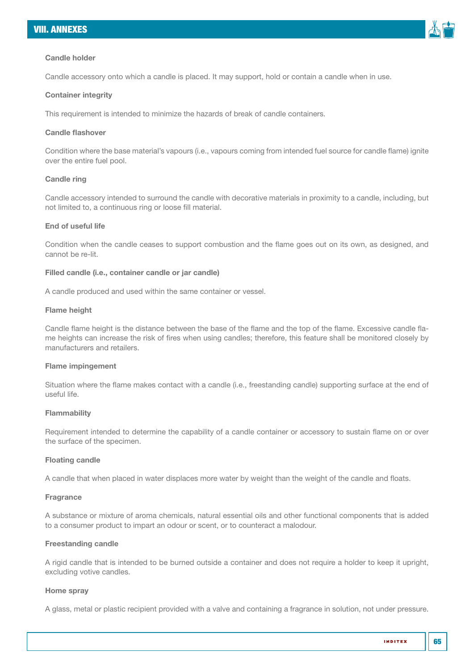

#### Candle holder

Candle accessory onto which a candle is placed. It may support, hold or contain a candle when in use.

#### Container integrity

This requirement is intended to minimize the hazards of break of candle containers.

#### Candle flashover

Condition where the base material's vapours (i.e., vapours coming from intended fuel source for candle flame) ignite over the entire fuel pool.

#### Candle ring

Candle accessory intended to surround the candle with decorative materials in proximity to a candle, including, but not limited to, a continuous ring or loose fill material.

#### End of useful life

Condition when the candle ceases to support combustion and the flame goes out on its own, as designed, and cannot be re-lit.

#### Filled candle (i.e., container candle or jar candle)

A candle produced and used within the same container or vessel.

#### Flame height

Candle flame height is the distance between the base of the flame and the top of the flame. Excessive candle flame heights can increase the risk of fires when using candles; therefore, this feature shall be monitored closely by manufacturers and retailers.

#### Flame impingement

Situation where the flame makes contact with a candle (i.e., freestanding candle) supporting surface at the end of useful life.

#### **Flammability**

Requirement intended to determine the capability of a candle container or accessory to sustain flame on or over the surface of the specimen.

#### Floating candle

A candle that when placed in water displaces more water by weight than the weight of the candle and floats.

#### **Fragrance**

A substance or mixture of aroma chemicals, natural essential oils and other functional components that is added to a consumer product to impart an odour or scent, or to counteract a malodour.

#### Freestanding candle

A rigid candle that is intended to be burned outside a container and does not require a holder to keep it upright, excluding votive candles.

#### Home spray

A glass, metal or plastic recipient provided with a valve and containing a fragrance in solution, not under pressure.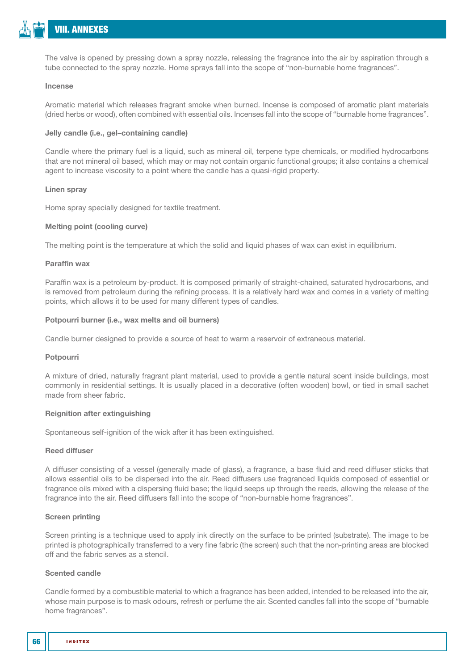

The valve is opened by pressing down a spray nozzle, releasing the fragrance into the air by aspiration through a tube connected to the spray nozzle. Home sprays fall into the scope of "non-burnable home fragrances".

#### Incense

Aromatic material which releases fragrant smoke when burned. Incense is composed of aromatic plant materials (dried herbs or wood), often combined with essential oils. Incenses fall into the scope of "burnable home fragrances".

#### Jelly candle (i.e., gel–containing candle)

Candle where the primary fuel is a liquid, such as mineral oil, terpene type chemicals, or modified hydrocarbons that are not mineral oil based, which may or may not contain organic functional groups; it also contains a chemical agent to increase viscosity to a point where the candle has a quasi-rigid property.

#### Linen spray

Home spray specially designed for textile treatment.

#### Melting point (cooling curve)

The melting point is the temperature at which the solid and liquid phases of wax can exist in equilibrium.

#### Paraffin wax

Paraffin wax is a petroleum by-product. It is composed primarily of straight-chained, saturated hydrocarbons, and is removed from petroleum during the refining process. It is a relatively hard wax and comes in a variety of melting points, which allows it to be used for many different types of candles.

#### Potpourri burner (i.e., wax melts and oil burners)

Candle burner designed to provide a source of heat to warm a reservoir of extraneous material.

#### Potpourri

A mixture of dried, naturally fragrant plant material, used to provide a gentle natural scent inside buildings, most commonly in residential settings. It is usually placed in a decorative (often wooden) bowl, or tied in small sachet made from sheer fabric.

#### Reignition after extinguishing

Spontaneous self-ignition of the wick after it has been extinguished.

#### Reed diffuser

A diffuser consisting of a vessel (generally made of glass), a fragrance, a base fluid and reed diffuser sticks that allows essential oils to be dispersed into the air. Reed diffusers use fragranced liquids composed of essential or fragrance oils mixed with a dispersing fluid base; the liquid seeps up through the reeds, allowing the release of the fragrance into the air. Reed diffusers fall into the scope of "non-burnable home fragrances".

#### Screen printing

Screen printing is a technique used to apply ink directly on the surface to be printed (substrate). The image to be printed is photographically transferred to a very fine fabric (the screen) such that the non-printing areas are blocked off and the fabric serves as a stencil.

#### Scented candle

Candle formed by a combustible material to which a fragrance has been added, intended to be released into the air, whose main purpose is to mask odours, refresh or perfume the air. Scented candles fall into the scope of "burnable home fragrances".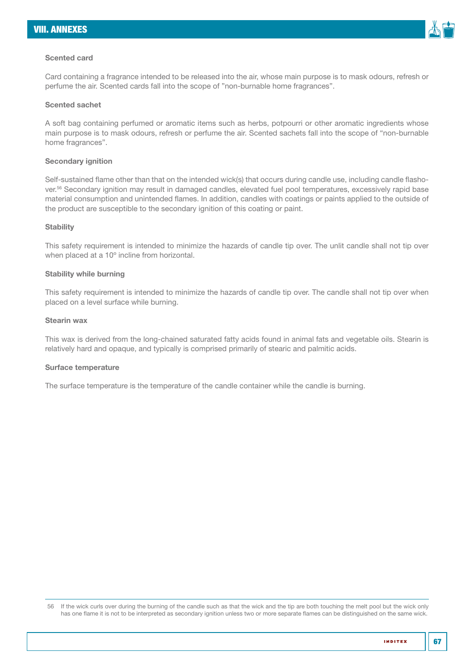

#### Scented card

Card containing a fragrance intended to be released into the air, whose main purpose is to mask odours, refresh or perfume the air. Scented cards fall into the scope of "non-burnable home fragrances".

#### Scented sachet

A soft bag containing perfumed or aromatic items such as herbs, potpourri or other aromatic ingredients whose main purpose is to mask odours, refresh or perfume the air. Scented sachets fall into the scope of "non-burnable home fragrances".

#### Secondary ignition

Self-sustained flame other than that on the intended wick(s) that occurs during candle use, including candle flashover.56 Secondary ignition may result in damaged candles, elevated fuel pool temperatures, excessively rapid base material consumption and unintended flames. In addition, candles with coatings or paints applied to the outside of the product are susceptible to the secondary ignition of this coating or paint.

#### **Stability**

This safety requirement is intended to minimize the hazards of candle tip over. The unlit candle shall not tip over when placed at a 10º incline from horizontal.

#### Stability while burning

This safety requirement is intended to minimize the hazards of candle tip over. The candle shall not tip over when placed on a level surface while burning.

#### Stearin wax

This wax is derived from the long-chained saturated fatty acids found in animal fats and vegetable oils. Stearin is relatively hard and opaque, and typically is comprised primarily of stearic and palmitic acids.

#### Surface temperature

The surface temperature is the temperature of the candle container while the candle is burning.

56 If the wick curls over during the burning of the candle such as that the wick and the tip are both touching the melt pool but the wick only has one flame it is not to be interpreted as secondary ignition unless two or more separate flames can be distinguished on the same wick.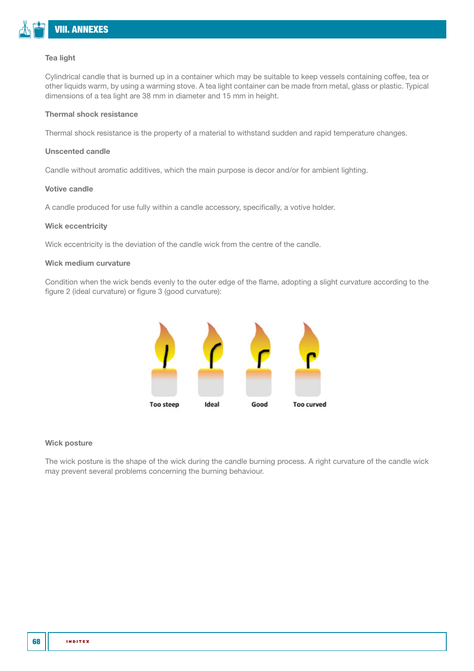

#### Tea light

Cylindrical candle that is burned up in a container which may be suitable to keep vessels containing coffee, tea or other liquids warm, by using a warming stove. A tea light container can be made from metal, glass or plastic. Typical dimensions of a tea light are 38 mm in diameter and 15 mm in height.

#### Thermal shock resistance

Thermal shock resistance is the property of a material to withstand sudden and rapid temperature changes.

#### Unscented candle

Candle without aromatic additives, which the main purpose is decor and/or for ambient lighting.

#### Votive candle

A candle produced for use fully within a candle accessory, specifically, a votive holder.

#### Wick eccentricity

Wick eccentricity is the deviation of the candle wick from the centre of the candle.

#### Wick medium curvature

Condition when the wick bends evenly to the outer edge of the flame, adopting a slight curvature according to the figure 2 (ideal curvature) or figure 3 (good curvature):



#### Wick posture

The wick posture is the shape of the wick during the candle burning process. A right curvature of the candle wick may prevent several problems concerning the burning behaviour.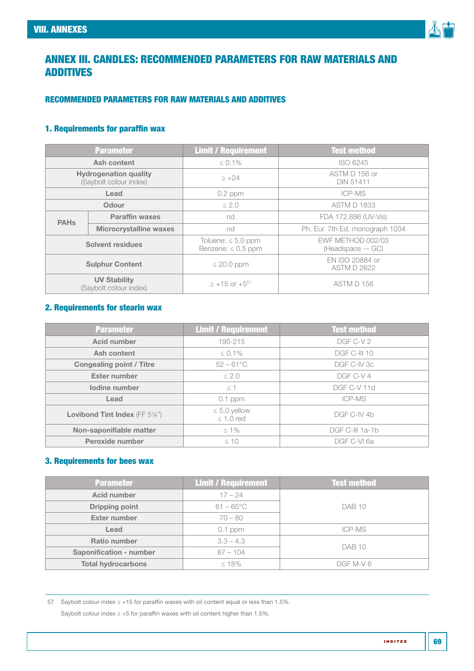

## ANNEX III. CANDLES: RECOMMENDED PARAMETERS FOR RAW MATERIALS AND ADDITIVES

#### RECOMMENDED PARAMETERS FOR RAW MATERIALS AND ADDITIVES

#### 1. Requirements for paraffin wax

| <b>Parameter</b>                                       |                               | <b>Limit / Requirement</b>                         | <b>Test method</b>                     |  |
|--------------------------------------------------------|-------------------------------|----------------------------------------------------|----------------------------------------|--|
| Ash content                                            |                               | $\leq 0.1\%$                                       | ISO 6245                               |  |
| <b>Hydrogenation quality</b><br>(Saybolt colour index) |                               | $> +24$                                            | ASTM D 156 or<br><b>DIN 51411</b>      |  |
| Lead                                                   |                               | $0.2$ ppm                                          | <b>ICP-MS</b>                          |  |
| Odour                                                  |                               | $\leq 2.0$                                         | <b>ASTM D 1833</b>                     |  |
| <b>PAH<sub>s</sub></b>                                 | <b>Paraffin waxes</b>         | nd                                                 | FDA 172.886 (UV-Vis)                   |  |
|                                                        | <b>Microcrystalline waxes</b> | nd                                                 | Ph. Eur. 7th Ed. monograph 1034        |  |
| Solvent residues                                       |                               | Toluene: $\leq 5.0$ ppm<br>Benzene: $\leq 0.5$ ppm | EWF METHOD 002/03<br>(Headspace -- GC) |  |
| <b>Sulphur Content</b>                                 |                               | $\leq$ 20.0 ppm                                    | EN ISO 20884 or<br><b>ASTM D 2622</b>  |  |
| <b>UV Stability</b><br>(Saybolt colour index)          |                               | $\ge +15$ or $+5^{57}$                             | ASTM D 156                             |  |

### 2. Requirements for stearin wax

| <b>Parameter</b>                          | <b>Limit / Requirement</b>          | <b>Test method</b> |
|-------------------------------------------|-------------------------------------|--------------------|
| Acid number                               | 195-215                             | DGF C-V 2          |
| Ash content                               | $\leq 0.1\%$                        | DGF C-III 10       |
| <b>Congealing point / Titre</b>           | $52 - 61^{\circ}$ C                 | DGF C-IV 3c        |
| <b>Ester number</b>                       | $\leq 2.0$                          | DGF C-V 4          |
| lodine number                             | $\leq$ 1                            | DGF C-V 11d        |
| Lead                                      | $0.1$ ppm                           | <b>ICP-MS</b>      |
| Lovibond Tint Index (FF $5\frac{1}{4}$ ") | $\leq 5.0$ yellow<br>$\leq 1.0$ red | DGF C-IV 4b        |
| Non-saponifiable matter                   | $\leq 1\%$                          | DGF C-III 1a-1b    |
| Peroxide number                           | $\leq 10$                           | DGF C-VI 6a        |

#### 3. Requirements for bees wax

| <b>Parameter</b>               | <b>Limit / Requirement</b> | <b>Test method</b> |  |
|--------------------------------|----------------------------|--------------------|--|
| Acid number                    | $17 - 24$                  |                    |  |
| <b>Dripping point</b>          | $61 - 65^{\circ}$ C        | <b>DAB 10</b>      |  |
| <b>Ester number</b>            | $70 - 80$                  |                    |  |
| Lead                           | $0.1$ ppm                  | <b>ICP-MS</b>      |  |
| <b>Ratio number</b>            | $3.3 - 4.3$                | <b>DAB 10</b>      |  |
| <b>Saponification - number</b> | $87 - 104$                 |                    |  |
| <b>Total hydrocarbons</b>      | $\leq 18\%$                | DGF M-V 6          |  |

57 Saybolt colour index ≥ +15 for paraffin waxes with oil content equal or less than 1.5%.

Saybolt colour index  $\geq$  +5 for paraffin waxes with oil content higher than 1.5%.

69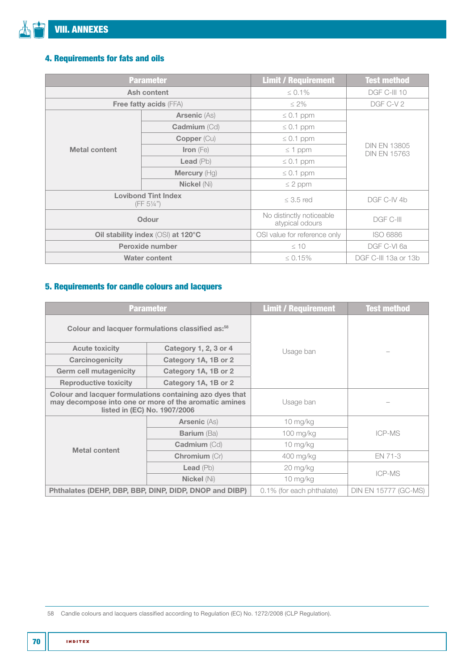## 4. Requirements for fats and oils

| <b>Parameter</b>                                  |                        | <b>Limit / Requirement</b>                  | <b>Test method</b>                         |  |
|---------------------------------------------------|------------------------|---------------------------------------------|--------------------------------------------|--|
| Ash content                                       |                        | $\leq 0.1\%$                                | <b>DGF C-III 10</b>                        |  |
|                                                   | Free fatty acids (FFA) | $\leq 2\%$                                  | DGF C-V 2                                  |  |
|                                                   | <b>Arsenic (As)</b>    | $\leq$ 0.1 ppm                              |                                            |  |
|                                                   | Cadmium (Cd)           | $\leq$ 0.1 ppm                              | <b>DIN EN 13805</b><br><b>DIN EN 15763</b> |  |
|                                                   | <b>Copper (Cu)</b>     | $\leq$ 0.1 ppm                              |                                            |  |
| <b>Metal content</b>                              | Iron $(Fe)$            | $\leq$ 1 ppm                                |                                            |  |
|                                                   | Lead (Pb)              | $\leq$ 0.1 ppm                              |                                            |  |
|                                                   | Mercury (Hg)           | $\leq$ 0.1 ppm                              |                                            |  |
|                                                   | <b>Nickel (Ni)</b>     | $\leq$ 2 ppm                                |                                            |  |
| <b>Lovibond Tint Index</b><br>$(FF 5\frac{1}{4})$ |                        | $\leq$ 3.5 red                              | DGF C-IV 4b                                |  |
| Odour                                             |                        | No distinctly noticeable<br>atypical odours | DGF C-III                                  |  |
| Oil stability index (OSI) at 120°C                |                        | OSI value for reference only                | <b>ISO 6886</b>                            |  |
| Peroxide number                                   |                        | $\leq 10$                                   | DGF C-VI 6a                                |  |
| <b>Water content</b>                              |                        | $\leq 0.15\%$                               | DGF C-III 13a or 13b                       |  |

## 5. Requirements for candle colours and lacquers

| <b>Parameter</b>                                                                                                                                  |                       | <b>Limit / Requirement</b>       | <b>Test method</b>   |
|---------------------------------------------------------------------------------------------------------------------------------------------------|-----------------------|----------------------------------|----------------------|
| Colour and lacquer formulations classified as: <sup>58</sup>                                                                                      |                       |                                  |                      |
| <b>Acute toxicity</b>                                                                                                                             | Category 1, 2, 3 or 4 | Usage ban                        |                      |
| Carcinogenicity                                                                                                                                   | Category 1A, 1B or 2  |                                  |                      |
| <b>Germ cell mutagenicity</b>                                                                                                                     | Category 1A, 1B or 2  |                                  |                      |
| <b>Reproductive toxicity</b>                                                                                                                      | Category 1A, 1B or 2  |                                  |                      |
| Colour and lacquer formulations containing azo dyes that<br>may decompose into one or more of the aromatic amines<br>listed in (EC) No. 1907/2006 |                       | Usage ban                        |                      |
| <b>Metal content</b>                                                                                                                              | <b>Arsenic (As)</b>   | 10 mg/kg                         |                      |
|                                                                                                                                                   | <b>Barium (Ba)</b>    | 100 mg/kg                        | <b>ICP-MS</b>        |
|                                                                                                                                                   | Cadmium (Cd)          | $10 \frac{\text{mg}}{\text{kg}}$ |                      |
|                                                                                                                                                   | <b>Chromium (Cr)</b>  | 400 mg/kg                        | EN 71-3              |
|                                                                                                                                                   | <b>Lead</b> $(Pb)$    | 20 mg/kg                         | <b>ICP-MS</b>        |
|                                                                                                                                                   | <b>Nickel (Ni)</b>    | 10 mg/kg                         |                      |
| Phthalates (DEHP, DBP, BBP, DINP, DIDP, DNOP and DIBP)                                                                                            |                       | 0.1% (for each phthalate)        | DIN EN 15777 (GC-MS) |

58 Candle colours and lacquers classified according to Regulation (EC) No. 1272/2008 (CLP Regulation).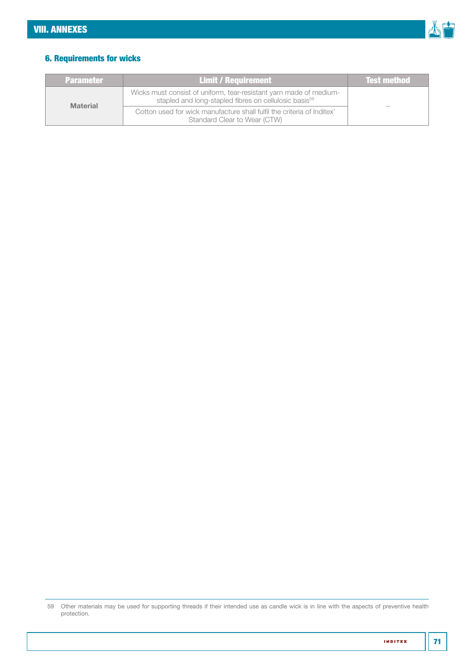

### 6. Requirements for wicks

| <b>Parameter</b> | Limit / Reauirement                                                                                                                     | <b>Test method</b> |
|------------------|-----------------------------------------------------------------------------------------------------------------------------------------|--------------------|
| <b>Material</b>  | Wicks must consist of uniform, tear-resistant yarn made of medium-<br>stapled and long-stapled fibres on cellulosic basis <sup>59</sup> |                    |
|                  | Cotton used for wick manufacture shall fulfil the criteria of Inditex'<br>Standard Clear to Wear (CTW)                                  |                    |

<sup>59</sup> Other materials may be used for supporting threads if their intended use as candle wick is in line with the aspects of preventive health protection.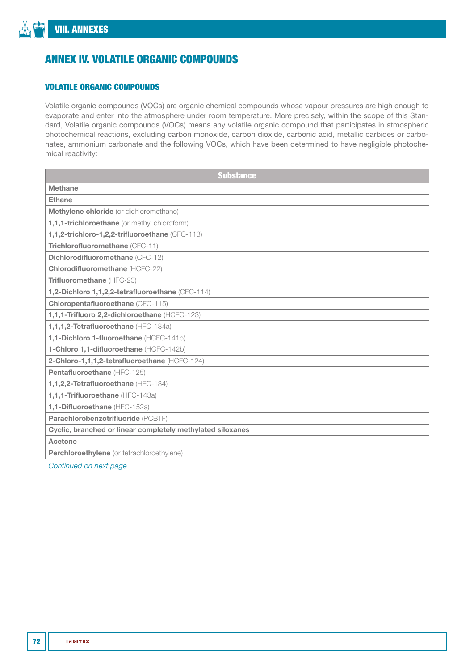

## <span id="page-71-0"></span>ANNEX IV. VOLATILE ORGANIC COMPOUNDS

#### VOLATILE ORGANIC COMPOUNDS

Volatile organic compounds (VOCs) are organic chemical compounds whose vapour pressures are high enough to evaporate and enter into the atmosphere under room temperature. More precisely, within the scope of this Standard, Volatile organic compounds (VOCs) means any volatile organic compound that participates in atmospheric photochemical reactions, excluding carbon monoxide, carbon dioxide, carbonic acid, metallic carbides or carbonates, ammonium carbonate and the following VOCs, which have been determined to have negligible photochemical reactivity:

| <b>Substance</b>                                           |
|------------------------------------------------------------|
| <b>Methane</b>                                             |
| <b>Ethane</b>                                              |
| <b>Methylene chloride</b> (or dichloromethane)             |
| 1,1,1-trichloroethane (or methyl chloroform)               |
| 1,1,2-trichloro-1,2,2-trifluoroethane (CFC-113)            |
| Trichlorofluoromethane (CFC-11)                            |
| Dichlorodifluoromethane (CFC-12)                           |
| Chlorodifluoromethane (HCFC-22)                            |
| Trifluoromethane (HFC-23)                                  |
| 1,2-Dichloro 1,1,2,2-tetrafluoroethane (CFC-114)           |
| Chloropentafluoroethane (CFC-115)                          |
| 1,1,1-Trifluoro 2,2-dichloroethane (HCFC-123)              |
| 1,1,1,2-Tetrafluoroethane (HFC-134a)                       |
| 1,1-Dichloro 1-fluoroethane (HCFC-141b)                    |
| 1-Chloro 1,1-difluoroethane (HCFC-142b)                    |
| 2-Chloro-1,1,1,2-tetrafluoroethane (HCFC-124)              |
| Pentafluoroethane (HFC-125)                                |
| 1,1,2,2-Tetrafluoroethane (HFC-134)                        |
| 1,1,1-Trifluoroethane (HFC-143a)                           |
| 1,1-Difluoroethane (HFC-152a)                              |
| Parachlorobenzotrifluoride (PCBTF)                         |
| Cyclic, branched or linear completely methylated siloxanes |
| Acetone                                                    |
| <b>Perchloroethylene</b> (or tetrachloroethylene)          |

*Continued on next page*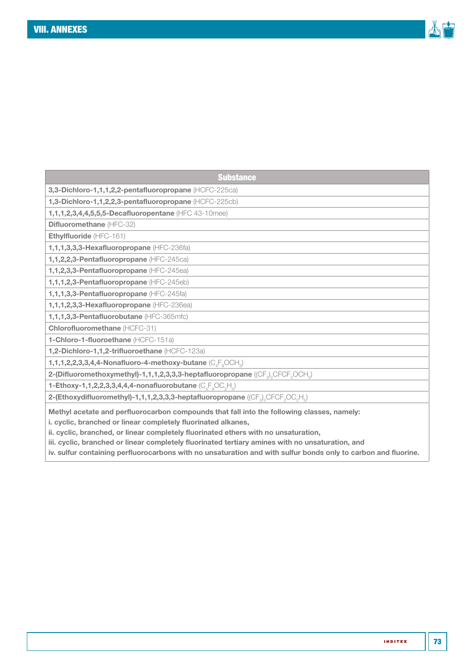

| <b>Substance</b>                                                                                                                                                                                                                                                                                                                                       |
|--------------------------------------------------------------------------------------------------------------------------------------------------------------------------------------------------------------------------------------------------------------------------------------------------------------------------------------------------------|
| 3,3-Dichloro-1,1,1,2,2-pentafluoropropane (HCFC-225ca)                                                                                                                                                                                                                                                                                                 |
| 1,3-Dichloro-1,1,2,2,3-pentafluoropropane (HCFC-225cb)                                                                                                                                                                                                                                                                                                 |
| 1,1,1,2,3,4,4,5,5,5-Decafluoropentane (HFC 43-10mee)                                                                                                                                                                                                                                                                                                   |
| Difluoromethane (HFC-32)                                                                                                                                                                                                                                                                                                                               |
| Ethylfluoride (HFC-161)                                                                                                                                                                                                                                                                                                                                |
| 1,1,1,3,3,3-Hexafluoropropane (HFC-236fa)                                                                                                                                                                                                                                                                                                              |
| 1,1,2,2,3-Pentafluoropropane (HFC-245ca)                                                                                                                                                                                                                                                                                                               |
| 1,1,2,3,3-Pentafluoropropane (HFC-245ea)                                                                                                                                                                                                                                                                                                               |
| 1,1,1,2,3-Pentafluoropropane (HFC-245eb)                                                                                                                                                                                                                                                                                                               |
| 1,1,1,3,3-Pentafluoropropane (HFC-245fa)                                                                                                                                                                                                                                                                                                               |
| 1,1,1,2,3,3-Hexafluoropropane (HFC-236ea)                                                                                                                                                                                                                                                                                                              |
| 1,1,1,3,3-Pentafluorobutane (HFC-365mfc)                                                                                                                                                                                                                                                                                                               |
| Chlorofluoromethane (HCFC-31)                                                                                                                                                                                                                                                                                                                          |
| 1-Chloro-1-fluoroethane (HCFC-151a)                                                                                                                                                                                                                                                                                                                    |
| 1,2-Dichloro-1,1,2-trifluoroethane (HCFC-123a)                                                                                                                                                                                                                                                                                                         |
| 1,1,1,2,2,3,3,4,4-Nonafluoro-4-methoxy-butane $(C_A F_o OCH_a)$                                                                                                                                                                                                                                                                                        |
| 2-(Difluoromethoxymethyl)-1,1,1,2,3,3,3-heptafluoropropane ((CF,),CFCF,OCH,)                                                                                                                                                                                                                                                                           |
| 1-Ethoxy-1,1,2,2,3,3,4,4,4-nonafluorobutane (C <sub>A</sub> F <sub>Q</sub> OC <sub>2</sub> H <sub>c</sub> )                                                                                                                                                                                                                                            |
| 2-(Ethoxydifluoromethyl)-1,1,1,2,3,3,3-heptafluoropropane ((CF,),CFCF,OC,H,)                                                                                                                                                                                                                                                                           |
| Methyl acetate and perfluorocarbon compounds that fall into the following classes, namely:<br>i. cyclic, branched or linear completely fluorinated alkanes,<br>ii. cyclic, branched, or linear completely fluorinated ethers with no unsaturation,<br>iii. cyclic, branched or linear completely fluorinated tertiary amines with no unsaturation, and |

iv. sulfur containing perfluorocarbons with no unsaturation and with sulfur bonds only to carbon and fluorine.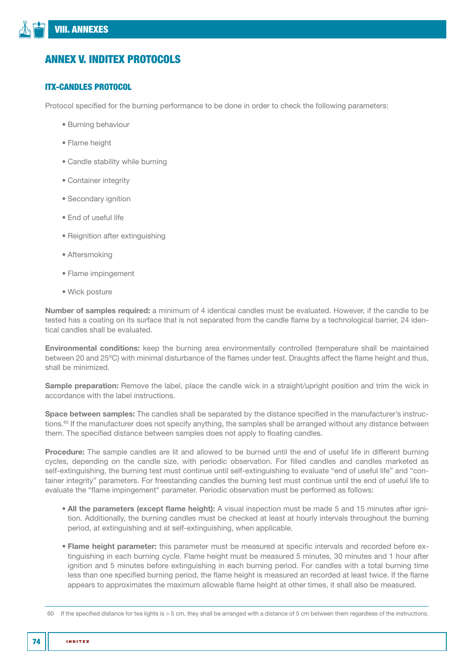# ANNEX V. INDITEX PROTOCOLS

## ITX-CANDLES PROTOCOL

Protocol specified for the burning performance to be done in order to check the following parameters:

- Burning behaviour
- Flame height
- Candle stability while burning
- Container integrity
- Secondary ignition
- End of useful life
- Reignition after extinguishing
- Aftersmoking
- Flame impingement
- Wick posture

Number of samples required: a minimum of 4 identical candles must be evaluated. However, if the candle to be tested has a coating on its surface that is not separated from the candle flame by a technological barrier, 24 identical candles shall be evaluated.

Environmental conditions: keep the burning area environmentally controlled (temperature shall be maintained between 20 and 25ºC) with minimal disturbance of the flames under test. Draughts affect the flame height and thus, shall be minimized.

Sample preparation: Remove the label, place the candle wick in a straight/upright position and trim the wick in accordance with the label instructions.

Space between samples: The candles shall be separated by the distance specified in the manufacturer's instructions.<sup>60</sup> If the manufacturer does not specify anything, the samples shall be arranged without any distance between them. The specified distance between samples does not apply to floating candles.

Procedure: The sample candles are lit and allowed to be burned until the end of useful life in different burning cycles, depending on the candle size, with periodic observation. For filled candles and candles marketed as self-extinguishing, the burning test must continue until self-extinguishing to evaluate "end of useful life" and "container integrity" parameters. For freestanding candles the burning test must continue until the end of useful life to evaluate the "flame impingement" parameter. Periodic observation must be performed as follows:

- All the parameters (except flame height): A visual inspection must be made 5 and 15 minutes after ignition. Additionally, the burning candles must be checked at least at hourly intervals throughout the burning period, at extinguishing and at self-extinguishing, when applicable.
- Flame height parameter: this parameter must be measured at specific intervals and recorded before extinguishing in each burning cycle. Flame height must be measured 5 minutes, 30 minutes and 1 hour after ignition and 5 minutes before extinguishing in each burning period. For candles with a total burning time less than one specified burning period, the flame height is measured an recorded at least twice. If the flame appears to approximates the maximum allowable flame height at other times, it shall also be measured.

<sup>60</sup> If the specified distance for tea lights is > 5 cm, they shall be arranged with a distance of 5 cm between them regardless of the instructions.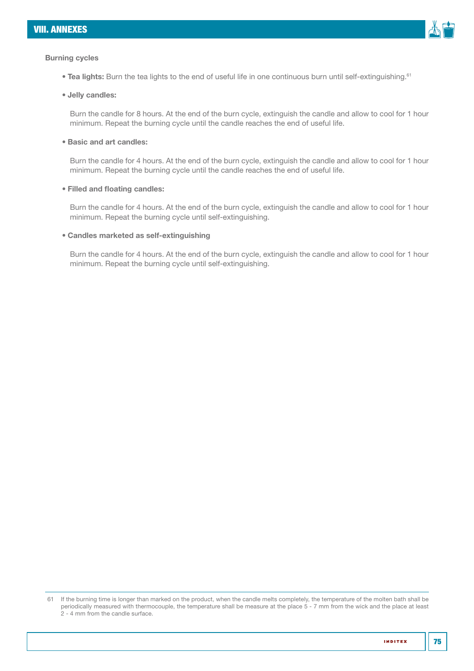

#### Burning cycles

- Tea lights: Burn the tea lights to the end of useful life in one continuous burn until self-extinguishing.<sup>61</sup>
- Jelly candles:

Burn the candle for 8 hours. At the end of the burn cycle, extinguish the candle and allow to cool for 1 hour minimum. Repeat the burning cycle until the candle reaches the end of useful life.

• Basic and art candles:

Burn the candle for 4 hours. At the end of the burn cycle, extinguish the candle and allow to cool for 1 hour minimum. Repeat the burning cycle until the candle reaches the end of useful life.

## • Filled and floating candles:

Burn the candle for 4 hours. At the end of the burn cycle, extinguish the candle and allow to cool for 1 hour minimum. Repeat the burning cycle until self-extinguishing.

#### • Candles marketed as self-extinguishing

Burn the candle for 4 hours. At the end of the burn cycle, extinguish the candle and allow to cool for 1 hour minimum. Repeat the burning cycle until self-extinguishing.

<sup>61</sup> If the burning time is longer than marked on the product, when the candle melts completely, the temperature of the molten bath shall be periodically measured with thermocouple, the temperature shall be measure at the place 5 - 7 mm from the wick and the place at least 2 - 4 mm from the candle surface.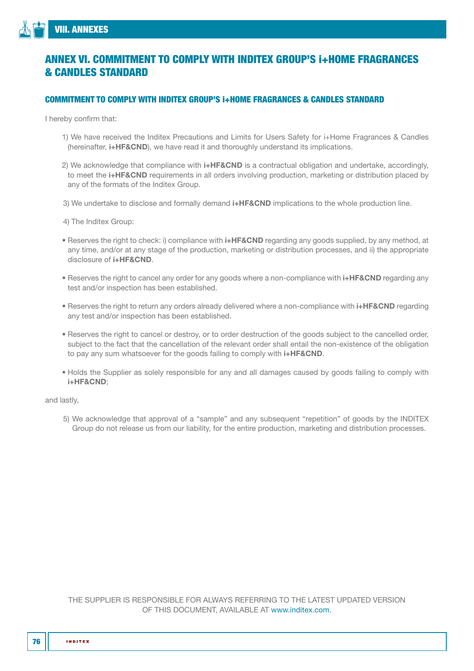

## ANNEX VI. COMMITMENT TO COMPLY WITH INDITEX GROUP'S i+HOME FRAGRANCES & CANDLES STANDARD

#### COMMITMENT TO COMPLY WITH INDITEX GROUP'S i+HOME FRAGRANCES & CANDLES STANDARD

I hereby confirm that:

- 1) We have received the Inditex Precautions and Limits for Users Safety for i+Home Fragrances & Candles (hereinafter, i+HF&CND), we have read it and thoroughly understand its implications.
- 2) We acknowledge that compliance with **i+HF&CND** is a contractual obligation and undertake, accordingly, to meet the i+HF&CND requirements in all orders involving production, marketing or distribution placed by any of the formats of the Inditex Group.
- 3) We undertake to disclose and formally demand **i+HF&CND** implications to the whole production line.
- 4) The Inditex Group:
- Reserves the right to check: i) compliance with **i+HF&CND** regarding any goods supplied, by any method, at any time, and/or at any stage of the production, marketing or distribution processes, and ii) the appropriate disclosure of i+HF&CND.
- Reserves the right to cancel any order for any goods where a non-compliance with i+HF&CND regarding any test and/or inspection has been established.
- Reserves the right to return any orders already delivered where a non-compliance with i+HF&CND regarding any test and/or inspection has been established.
- Reserves the right to cancel or destroy, or to order destruction of the goods subject to the cancelled order, subject to the fact that the cancellation of the relevant order shall entail the non-existence of the obligation to pay any sum whatsoever for the goods failing to comply with **i+HF&CND**.
- Holds the Supplier as solely responsible for any and all damages caused by goods failing to comply with i+HF&CND;

and lastly,

5) We acknowledge that approval of a "sample" and any subsequent "repetition" of goods by the INDITEX Group do not release us from our liability, for the entire production, marketing and distribution processes.

THE SUPPLIER IS RESPONSIBLE FOR ALWAYS REFERRING TO THE LATEST UPDATED VERSION OF THIS DOCUMENT, AVAILABLE AT [www.inditex.com.](http://www.inditex.com)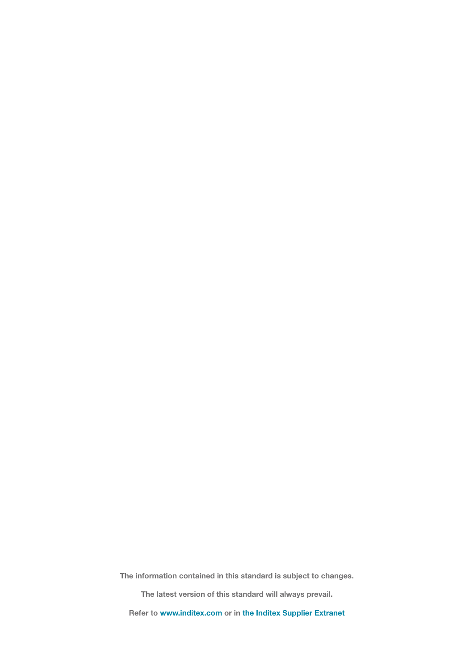The information contained in this standard is subject to changes.

The latest version of this standard will always prevail.

Refer to [www.inditex.com](http://www.inditex.com) or in the Inditex Supplier Extranet